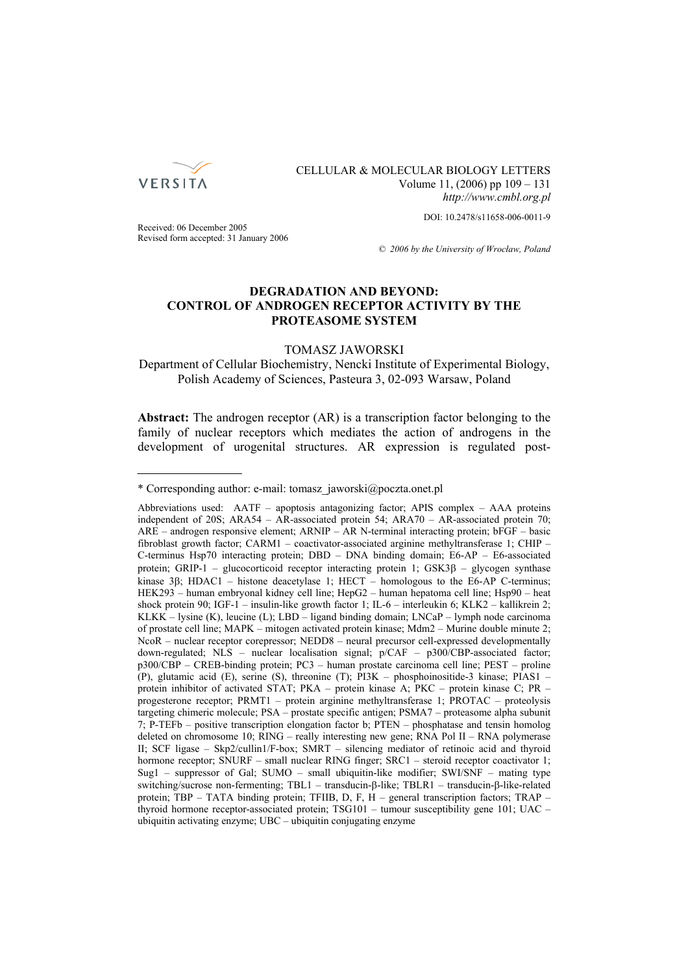

CELLULAR & MOLECULAR BIOLOGY LETTERS Volume 11, (2006) pp 109 – 131 *http://www.cmbl.org.pl*

DOI: 10.2478/s11658-006-0011-9

Received: 06 December 2005 Revised form accepted: 31 January 2006

*© 2006 by the University of Wrocław, Poland*

## **DEGRADATION AND BEYOND: CONTROL OF ANDROGEN RECEPTOR ACTIVITY BY THE PROTEASOME SYSTEM**

# TOMASZ JAWORSKI

Department of Cellular Biochemistry, Nencki Institute of Experimental Biology, Polish Academy of Sciences, Pasteura 3, 02-093 Warsaw, Poland

**Abstract:** The androgen receptor (AR) is a transcription factor belonging to the family of nuclear receptors which mediates the action of androgens in the development of urogenital structures. AR expression is regulated post-

<sup>\*</sup> Corresponding author: e-mail: tomasz\_jaworski@poczta.onet.pl

Abbreviations used: AATF – apoptosis antagonizing factor; APIS complex – AAA proteins independent of 20S; ARA54 – AR-associated protein 54; ARA70 – AR-associated protein 70; ARE – androgen responsive element; ARNIP – AR N-terminal interacting protein; bFGF – basic fibroblast growth factor; CARM1 – coactivator-associated arginine methyltransferase 1; CHIP – C-terminus Hsp70 interacting protein; DBD – DNA binding domain; E6-AP – E6-associated protein; GRIP-1 – glucocorticoid receptor interacting protein 1; GSK3 $\beta$  – glycogen synthase kinase  $3\beta$ ; HDAC1 – histone deacetylase 1; HECT – homologous to the E6-AP C-terminus; HEK293 – human embryonal kidney cell line; HepG2 – human hepatoma cell line; Hsp90 – heat shock protein 90; IGF-1 – insulin-like growth factor 1; IL-6 – interleukin 6; KLK2 – kallikrein 2; KLKK – lysine (K), leucine (L); LBD – ligand binding domain; LNCaP – lymph node carcinoma of prostate cell line; MAPK – mitogen activated protein kinase; Mdm2 – Murine double minute 2; NcoR – nuclear receptor corepressor; NEDD8 – neural precursor cell-expressed developmentally down-regulated;  $NLS$  – nuclear localisation signal;  $p/CAF$  –  $p300/CBP$ -associated factor; p300/CBP – CREB-binding protein; PC3 – human prostate carcinoma cell line; PEST – proline (P), glutamic acid (E), serine (S), threonine (T); PI3K – phosphoinositide-3 kinase; PIAS1 – protein inhibitor of activated STAT; PKA – protein kinase A; PKC – protein kinase C; PR – progesterone receptor; PRMT1 – protein arginine methyltransferase 1; PROTAC – proteolysis targeting chimeric molecule; PSA – prostate specific antigen; PSMA7 – proteasome alpha subunit 7; P-TEFb – positive transcription elongation factor b; PTEN – phosphatase and tensin homolog deleted on chromosome 10; RING – really interesting new gene; RNA Pol II – RNA polymerase II; SCF ligase – Skp2/cullin1/F-box; SMRT – silencing mediator of retinoic acid and thyroid hormone receptor; SNURF – small nuclear RING finger; SRC1 – steroid receptor coactivator 1; Sug1 – suppressor of Gal; SUMO – small ubiquitin-like modifier; SWI/SNF – mating type switching/sucrose non-fermenting; TBL1 – transducin-β-like; TBLR1 – transducin-β-like-related protein; TBP – TATA binding protein; TFIIB, D, F, H – general transcription factors; TRAP – thyroid hormone receptor-associated protein; TSG101 – tumour susceptibility gene 101; UAC – ubiquitin activating enzyme; UBC – ubiquitin conjugating enzyme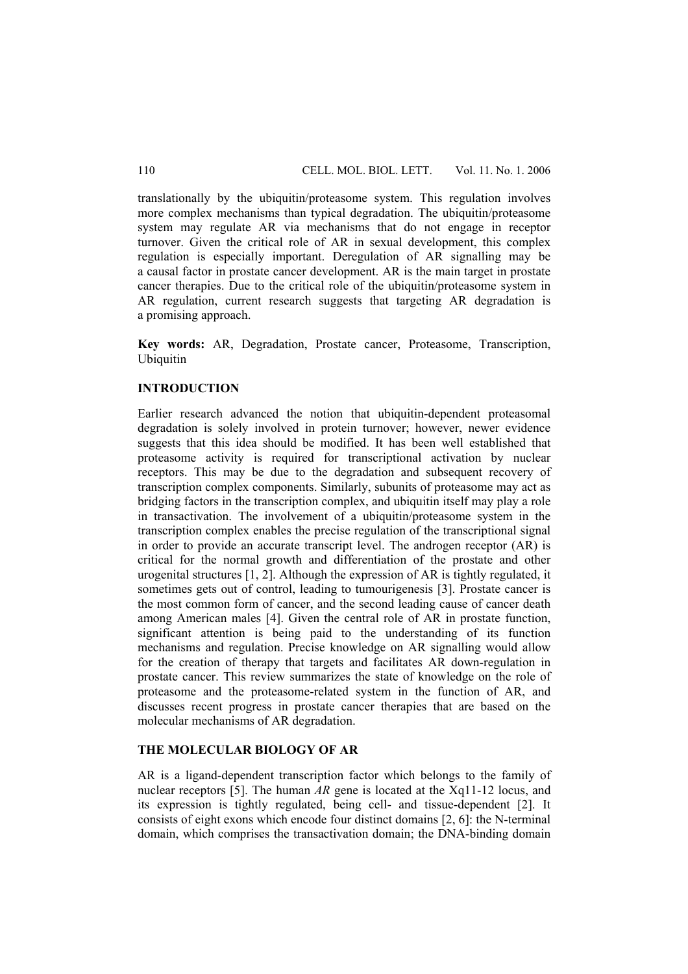translationally by the ubiquitin/proteasome system. This regulation involves more complex mechanisms than typical degradation. The ubiquitin/proteasome system may regulate AR via mechanisms that do not engage in receptor turnover. Given the critical role of AR in sexual development, this complex regulation is especially important. Deregulation of AR signalling may be a causal factor in prostate cancer development. AR is the main target in prostate cancer therapies. Due to the critical role of the ubiquitin/proteasome system in AR regulation, current research suggests that targeting AR degradation is a promising approach.

**Key words:** AR, Degradation, Prostate cancer, Proteasome, Transcription, Ubiquitin

## **INTRODUCTION**

Earlier research advanced the notion that ubiquitin-dependent proteasomal degradation is solely involved in protein turnover; however, newer evidence suggests that this idea should be modified. It has been well established that proteasome activity is required for transcriptional activation by nuclear receptors. This may be due to the degradation and subsequent recovery of transcription complex components. Similarly, subunits of proteasome may act as bridging factors in the transcription complex, and ubiquitin itself may play a role in transactivation. The involvement of a ubiquitin/proteasome system in the transcription complex enables the precise regulation of the transcriptional signal in order to provide an accurate transcript level. The androgen receptor (AR) is critical for the normal growth and differentiation of the prostate and other urogenital structures [1, 2]. Although the expression of AR is tightly regulated, it sometimes gets out of control, leading to tumourigenesis [3]. Prostate cancer is the most common form of cancer, and the second leading cause of cancer death among American males [4]. Given the central role of AR in prostate function, significant attention is being paid to the understanding of its function mechanisms and regulation. Precise knowledge on AR signalling would allow for the creation of therapy that targets and facilitates AR down-regulation in prostate cancer. This review summarizes the state of knowledge on the role of proteasome and the proteasome-related system in the function of AR, and discusses recent progress in prostate cancer therapies that are based on the molecular mechanisms of AR degradation.

### **THE MOLECULAR BIOLOGY OF AR**

AR is a ligand-dependent transcription factor which belongs to the family of nuclear receptors [5]. The human *AR* gene is located at the Xq11-12 locus, and its expression is tightly regulated, being cell- and tissue-dependent [2]. It consists of eight exons which encode four distinct domains [2, 6]: the N-terminal domain, which comprises the transactivation domain; the DNA-binding domain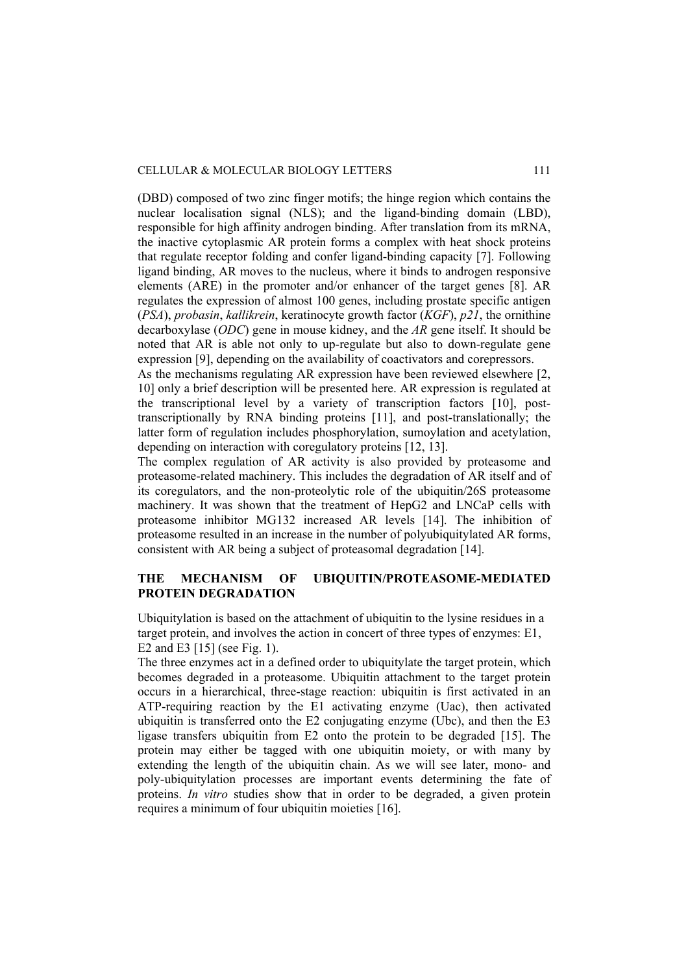(DBD) composed of two zinc finger motifs; the hinge region which contains the nuclear localisation signal (NLS); and the ligand-binding domain (LBD), responsible for high affinity androgen binding. After translation from its mRNA, the inactive cytoplasmic AR protein forms a complex with heat shock proteins that regulate receptor folding and confer ligand-binding capacity [7]. Following ligand binding, AR moves to the nucleus, where it binds to androgen responsive elements (ARE) in the promoter and/or enhancer of the target genes [8]. AR regulates the expression of almost 100 genes, including prostate specific antigen (*PSA*), *probasin*, *kallikrein*, keratinocyte growth factor (*KGF*), *p21*, the ornithine decarboxylase (*ODC*) gene in mouse kidney, and the *AR* gene itself. It should be noted that AR is able not only to up-regulate but also to down-regulate gene expression [9], depending on the availability of coactivators and corepressors.

As the mechanisms regulating AR expression have been reviewed elsewhere [2, 10] only a brief description will be presented here. AR expression is regulated at the transcriptional level by a variety of transcription factors [10], posttranscriptionally by RNA binding proteins [11], and post-translationally; the latter form of regulation includes phosphorylation, sumoylation and acetylation, depending on interaction with coregulatory proteins [12, 13].

The complex regulation of AR activity is also provided by proteasome and proteasome-related machinery. This includes the degradation of AR itself and of its coregulators, and the non-proteolytic role of the ubiquitin/26S proteasome machinery. It was shown that the treatment of HepG2 and LNCaP cells with proteasome inhibitor MG132 increased AR levels [14]. The inhibition of proteasome resulted in an increase in the number of polyubiquitylated AR forms, consistent with AR being a subject of proteasomal degradation [14].

# **THE MECHANISM OF UBIQUITIN/PROTEASOME-MEDIATED PROTEIN DEGRADATION**

Ubiquitylation is based on the attachment of ubiquitin to the lysine residues in a target protein, and involves the action in concert of three types of enzymes: E1, E2 and E3 [15] (see Fig. 1).

The three enzymes act in a defined order to ubiquitylate the target protein, which becomes degraded in a proteasome. Ubiquitin attachment to the target protein occurs in a hierarchical, three-stage reaction: ubiquitin is first activated in an ATP-requiring reaction by the E1 activating enzyme (Uac), then activated ubiquitin is transferred onto the E2 conjugating enzyme (Ubc), and then the E3 ligase transfers ubiquitin from E2 onto the protein to be degraded [15]. The protein may either be tagged with one ubiquitin moiety, or with many by extending the length of the ubiquitin chain. As we will see later, mono- and poly-ubiquitylation processes are important events determining the fate of proteins. *In vitro* studies show that in order to be degraded, a given protein requires a minimum of four ubiquitin moieties [16].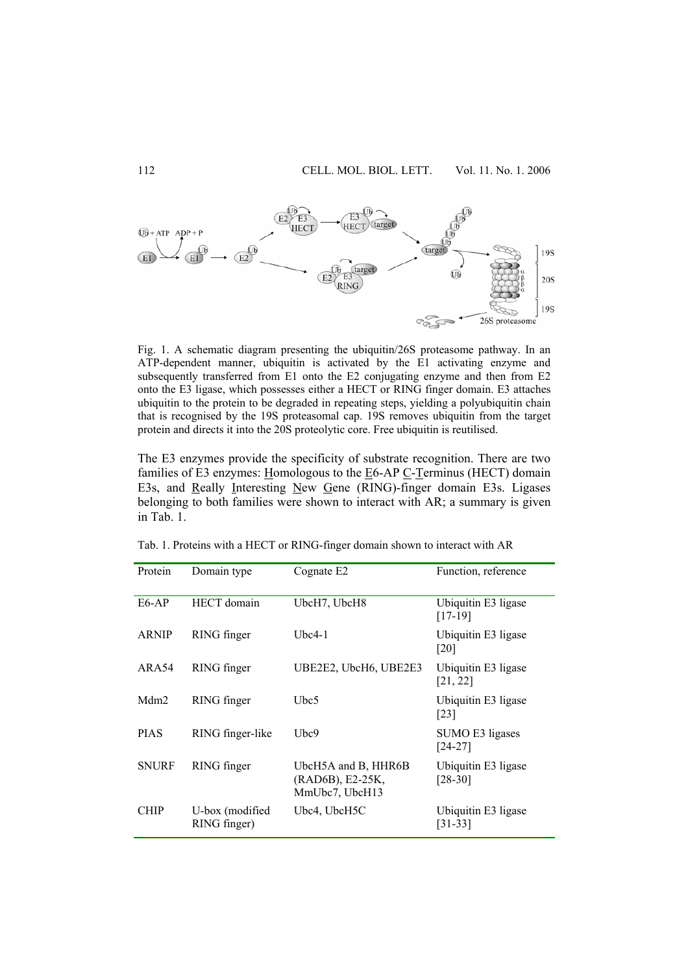

Fig. 1. A schematic diagram presenting the ubiquitin/26S proteasome pathway. In an ATP-dependent manner, ubiquitin is activated by the E1 activating enzyme and subsequently transferred from E1 onto the E2 conjugating enzyme and then from E2 onto the E3 ligase, which possesses either a HECT or RING finger domain. E3 attaches ubiquitin to the protein to be degraded in repeating steps, yielding a polyubiquitin chain that is recognised by the 19S proteasomal cap. 19S removes ubiquitin from the target protein and directs it into the 20S proteolytic core. Free ubiquitin is reutilised.

The E3 enzymes provide the specificity of substrate recognition. There are two families of E3 enzymes: Homologous to the E6-AP C-Terminus (HECT) domain E3s, and Really Interesting New Gene (RING)-finger domain E3s. Ligases belonging to both families were shown to interact with AR; a summary is given in Tab. 1.

| Protein          | Domain type                     | Cognate E2                                                | Function, reference                       |
|------------------|---------------------------------|-----------------------------------------------------------|-------------------------------------------|
| $E6-AP$          | <b>HECT</b> domain              | UbcH7, UbcH8                                              | Ubiquitin E3 ligase<br>$[17-19]$          |
| <b>ARNIP</b>     | RING finger                     | $Ubc4-1$                                                  | Ubiquitin E3 ligase<br>[20]               |
| ARA54            | RING finger                     | UBE2E2, UbcH6, UBE2E3                                     | Ubiquitin E3 ligase<br>[21, 22]           |
| Mdm <sub>2</sub> | RING finger                     | Ubc5                                                      | Ubiquitin E3 ligase<br>$\lceil 23 \rceil$ |
| <b>PIAS</b>      | RING finger-like                | U <sub>bc</sub> 9                                         | SUMO E3 ligases<br>$[24-27]$              |
| <b>SNURF</b>     | RING finger                     | UbcH5A and B, HHR6B<br>(RAD6B), E2-25K,<br>MmUbc7, UbcH13 | Ubiquitin E3 ligase<br>[28-30]            |
| <b>CHIP</b>      | U-box (modified<br>RING finger) | Ubc4, UbcH5C                                              | Ubiquitin E3 ligase<br>$[31-33]$          |

Tab. 1. Proteins with a HECT or RING-finger domain shown to interact with AR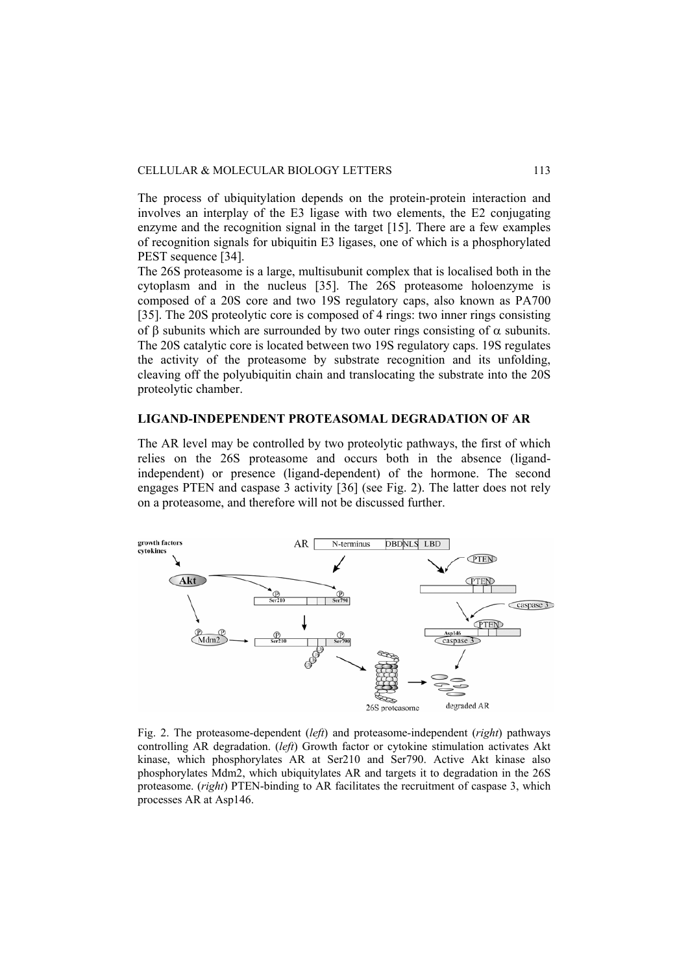The process of ubiquitylation depends on the protein-protein interaction and involves an interplay of the E3 ligase with two elements, the E2 conjugating enzyme and the recognition signal in the target [15]. There are a few examples of recognition signals for ubiquitin E3 ligases, one of which is a phosphorylated PEST sequence [34].

The 26S proteasome is a large, multisubunit complex that is localised both in the cytoplasm and in the nucleus [35]. The 26S proteasome holoenzyme is composed of a 20S core and two 19S regulatory caps, also known as PA700 [35]. The 20S proteolytic core is composed of 4 rings: two inner rings consisting of β subunits which are surrounded by two outer rings consisting of  $\alpha$  subunits. The 20S catalytic core is located between two 19S regulatory caps. 19S regulates the activity of the proteasome by substrate recognition and its unfolding, cleaving off the polyubiquitin chain and translocating the substrate into the 20S proteolytic chamber.

#### **LIGAND-INDEPENDENT PROTEASOMAL DEGRADATION OF AR**

The AR level may be controlled by two proteolytic pathways, the first of which relies on the 26S proteasome and occurs both in the absence (ligandindependent) or presence (ligand-dependent) of the hormone. The second engages PTEN and caspase 3 activity [36] (see Fig. 2). The latter does not rely on a proteasome, and therefore will not be discussed further.



Fig. 2. The proteasome-dependent (*left*) and proteasome-independent (*right*) pathways controlling AR degradation. (*left*) Growth factor or cytokine stimulation activates Akt kinase, which phosphorylates AR at Ser210 and Ser790. Active Akt kinase also phosphorylates Mdm2, which ubiquitylates AR and targets it to degradation in the 26S proteasome. (*right*) PTEN-binding to AR facilitates the recruitment of caspase 3, which processes AR at Asp146.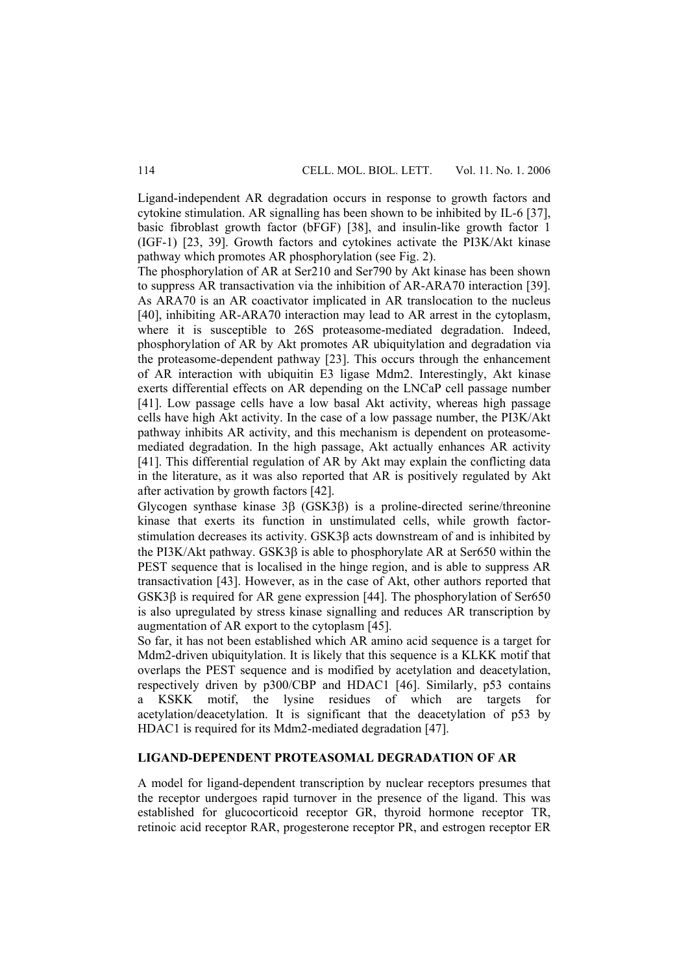Ligand-independent AR degradation occurs in response to growth factors and cytokine stimulation. AR signalling has been shown to be inhibited by IL-6 [37], basic fibroblast growth factor (bFGF) [38], and insulin-like growth factor 1 (IGF-1) [23, 39]. Growth factors and cytokines activate the PI3K/Akt kinase pathway which promotes AR phosphorylation (see Fig. 2).

The phosphorylation of AR at Ser210 and Ser790 by Akt kinase has been shown to suppress AR transactivation via the inhibition of AR-ARA70 interaction [39]. As ARA70 is an AR coactivator implicated in AR translocation to the nucleus [40], inhibiting AR-ARA70 interaction may lead to AR arrest in the cytoplasm, where it is susceptible to 26S proteasome-mediated degradation. Indeed, phosphorylation of AR by Akt promotes AR ubiquitylation and degradation via the proteasome-dependent pathway [23]. This occurs through the enhancement of AR interaction with ubiquitin E3 ligase Mdm2. Interestingly, Akt kinase exerts differential effects on AR depending on the LNCaP cell passage number [41]. Low passage cells have a low basal Akt activity, whereas high passage cells have high Akt activity. In the case of a low passage number, the PI3K/Akt pathway inhibits AR activity, and this mechanism is dependent on proteasomemediated degradation. In the high passage, Akt actually enhances AR activity [41]. This differential regulation of AR by Akt may explain the conflicting data in the literature, as it was also reported that AR is positively regulated by Akt after activation by growth factors [42].

Glycogen synthase kinase 3β (GSK3β) is a proline-directed serine/threonine kinase that exerts its function in unstimulated cells, while growth factorstimulation decreases its activity. GSK3β acts downstream of and is inhibited by the PI3K/Akt pathway. GSK3β is able to phosphorylate AR at Ser650 within the PEST sequence that is localised in the hinge region, and is able to suppress AR transactivation [43]. However, as in the case of Akt, other authors reported that GSK3β is required for AR gene expression [44]. The phosphorylation of Ser650 is also upregulated by stress kinase signalling and reduces AR transcription by augmentation of AR export to the cytoplasm [45].

So far, it has not been established which AR amino acid sequence is a target for Mdm2-driven ubiquitylation. It is likely that this sequence is a KLKK motif that overlaps the PEST sequence and is modified by acetylation and deacetylation, respectively driven by p300/CBP and HDAC1 [46]. Similarly, p53 contains a KSKK motif, the lysine residues of which are targets for acetylation/deacetylation. It is significant that the deacetylation of p53 by HDAC1 is required for its Mdm2-mediated degradation [47].

# **LIGAND-DEPENDENT PROTEASOMAL DEGRADATION OF AR**

A model for ligand-dependent transcription by nuclear receptors presumes that the receptor undergoes rapid turnover in the presence of the ligand. This was established for glucocorticoid receptor GR, thyroid hormone receptor TR, retinoic acid receptor RAR, progesterone receptor PR, and estrogen receptor ER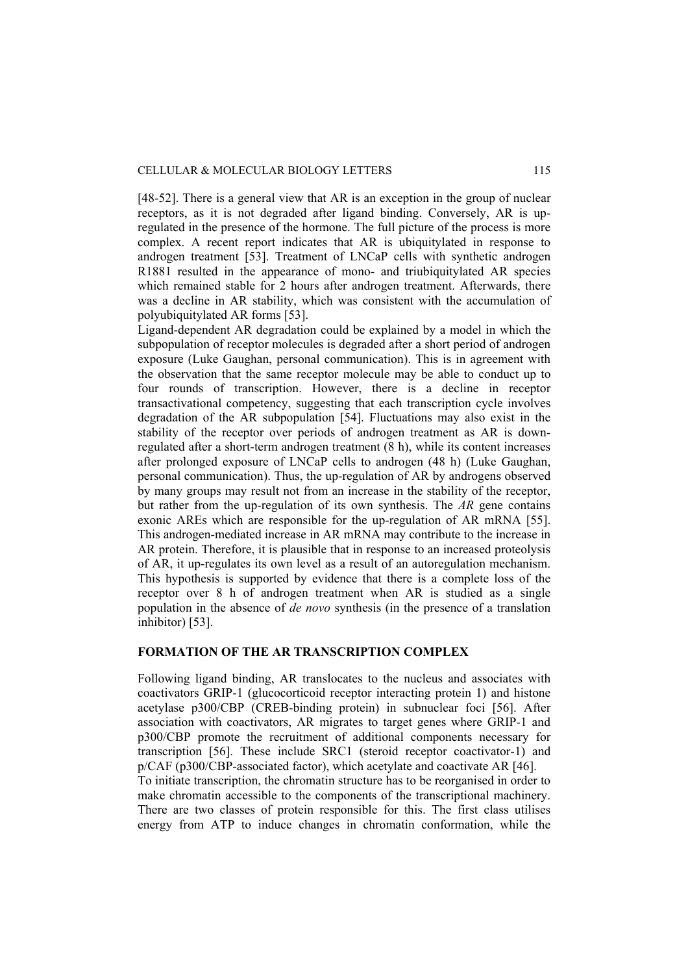#### CELLULAR & MOLECULAR BIOLOGY LETTERS 115

[48-52]. There is a general view that AR is an exception in the group of nuclear receptors, as it is not degraded after ligand binding. Conversely, AR is upregulated in the presence of the hormone. The full picture of the process is more complex. A recent report indicates that AR is ubiquitylated in response to androgen treatment [53]. Treatment of LNCaP cells with synthetic androgen R1881 resulted in the appearance of mono- and triubiquitylated AR species which remained stable for 2 hours after androgen treatment. Afterwards, there was a decline in AR stability, which was consistent with the accumulation of polyubiquitylated AR forms [53].

Ligand-dependent AR degradation could be explained by a model in which the subpopulation of receptor molecules is degraded after a short period of androgen exposure (Luke Gaughan, personal communication). This is in agreement with the observation that the same receptor molecule may be able to conduct up to four rounds of transcription. However, there is a decline in receptor transactivational competency, suggesting that each transcription cycle involves degradation of the AR subpopulation [54]. Fluctuations may also exist in the stability of the receptor over periods of androgen treatment as AR is downregulated after a short-term androgen treatment (8 h), while its content increases after prolonged exposure of LNCaP cells to androgen (48 h) (Luke Gaughan, personal communication). Thus, the up-regulation of AR by androgens observed by many groups may result not from an increase in the stability of the receptor, but rather from the up-regulation of its own synthesis. The *AR* gene contains exonic AREs which are responsible for the up-regulation of AR mRNA [55]. This androgen-mediated increase in AR mRNA may contribute to the increase in AR protein. Therefore, it is plausible that in response to an increased proteolysis of AR, it up-regulates its own level as a result of an autoregulation mechanism. This hypothesis is supported by evidence that there is a complete loss of the receptor over 8 h of androgen treatment when AR is studied as a single population in the absence of *de novo* synthesis (in the presence of a translation inhibitor) [53].

### **FORMATION OF THE AR TRANSCRIPTION COMPLEX**

Following ligand binding, AR translocates to the nucleus and associates with coactivators GRIP-1 (glucocorticoid receptor interacting protein 1) and histone acetylase p300/CBP (CREB-binding protein) in subnuclear foci [56]. After association with coactivators, AR migrates to target genes where GRIP-1 and p300/CBP promote the recruitment of additional components necessary for transcription [56]. These include SRC1 (steroid receptor coactivator-1) and p/CAF (p300/CBP-associated factor), which acetylate and coactivate AR [46].

To initiate transcription, the chromatin structure has to be reorganised in order to make chromatin accessible to the components of the transcriptional machinery. There are two classes of protein responsible for this. The first class utilises energy from ATP to induce changes in chromatin conformation, while the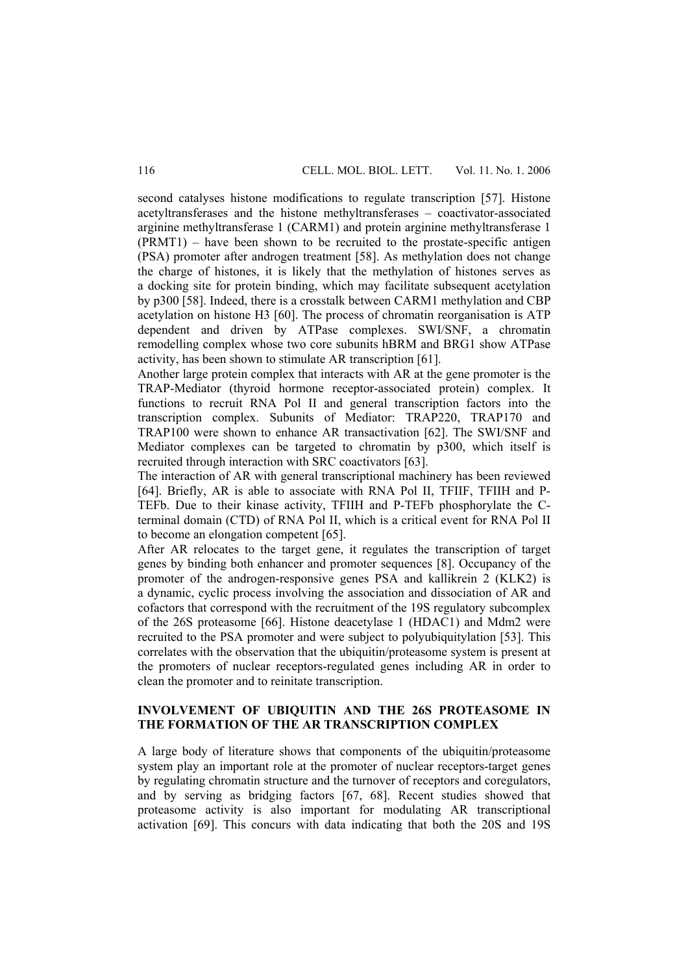second catalyses histone modifications to regulate transcription [57]. Histone acetyltransferases and the histone methyltransferases – coactivator-associated arginine methyltransferase 1 (CARM1) and protein arginine methyltransferase 1 (PRMT1) – have been shown to be recruited to the prostate-specific antigen (PSA) promoter after androgen treatment [58]. As methylation does not change the charge of histones, it is likely that the methylation of histones serves as a docking site for protein binding, which may facilitate subsequent acetylation by p300 [58]. Indeed, there is a crosstalk between CARM1 methylation and CBP acetylation on histone H3 [60]. The process of chromatin reorganisation is ATP dependent and driven by ATPase complexes. SWI/SNF, a chromatin remodelling complex whose two core subunits hBRM and BRG1 show ATPase activity, has been shown to stimulate AR transcription [61].

Another large protein complex that interacts with AR at the gene promoter is the TRAP-Mediator (thyroid hormone receptor-associated protein) complex. It functions to recruit RNA Pol II and general transcription factors into the transcription complex. Subunits of Mediator: TRAP220, TRAP170 and TRAP100 were shown to enhance AR transactivation [62]. The SWI/SNF and Mediator complexes can be targeted to chromatin by p300, which itself is recruited through interaction with SRC coactivators [63].

The interaction of AR with general transcriptional machinery has been reviewed [64]. Briefly, AR is able to associate with RNA Pol II, TFIIF, TFIIH and P-TEFb. Due to their kinase activity, TFIIH and P-TEFb phosphorylate the Cterminal domain (CTD) of RNA Pol II, which is a critical event for RNA Pol II to become an elongation competent [65].

After AR relocates to the target gene, it regulates the transcription of target genes by binding both enhancer and promoter sequences [8]. Occupancy of the promoter of the androgen-responsive genes PSA and kallikrein 2 (KLK2) is a dynamic, cyclic process involving the association and dissociation of AR and cofactors that correspond with the recruitment of the 19S regulatory subcomplex of the 26S proteasome [66]. Histone deacetylase 1 (HDAC1) and Mdm2 were recruited to the PSA promoter and were subject to polyubiquitylation [53]. This correlates with the observation that the ubiquitin/proteasome system is present at the promoters of nuclear receptors-regulated genes including AR in order to clean the promoter and to reinitate transcription.

### **INVOLVEMENT OF UBIQUITIN AND THE 26S PROTEASOME IN THE FORMATION OF THE AR TRANSCRIPTION COMPLEX**

A large body of literature shows that components of the ubiquitin/proteasome system play an important role at the promoter of nuclear receptors-target genes by regulating chromatin structure and the turnover of receptors and coregulators, and by serving as bridging factors [67, 68]. Recent studies showed that proteasome activity is also important for modulating AR transcriptional activation [69]. This concurs with data indicating that both the 20S and 19S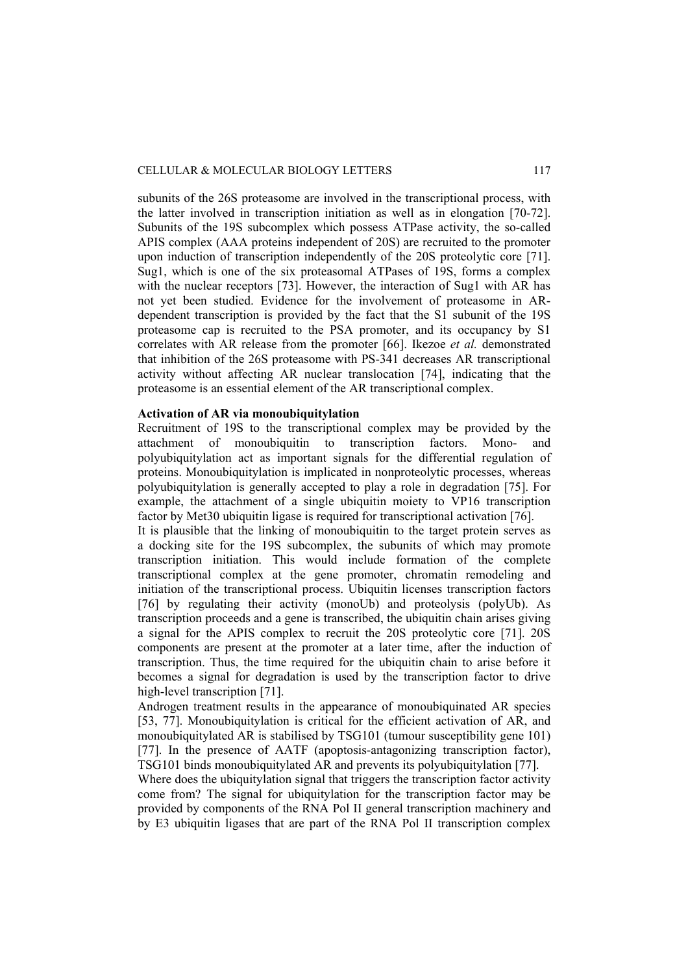subunits of the 26S proteasome are involved in the transcriptional process, with the latter involved in transcription initiation as well as in elongation [70-72]. Subunits of the 19S subcomplex which possess ATPase activity, the so-called APIS complex (AAA proteins independent of 20S) are recruited to the promoter upon induction of transcription independently of the 20S proteolytic core [71]. Sug1, which is one of the six proteasomal ATPases of 19S, forms a complex with the nuclear receptors [73]. However, the interaction of Sug1 with AR has not yet been studied. Evidence for the involvement of proteasome in ARdependent transcription is provided by the fact that the S1 subunit of the 19S proteasome cap is recruited to the PSA promoter, and its occupancy by S1 correlates with AR release from the promoter [66]. Ikezoe *et al.* demonstrated that inhibition of the 26S proteasome with PS-341 decreases AR transcriptional activity without affecting AR nuclear translocation [74], indicating that the proteasome is an essential element of the AR transcriptional complex.

## **Activation of AR via monoubiquitylation**

Recruitment of 19S to the transcriptional complex may be provided by the attachment of monoubiquitin to transcription factors. Mono- and polyubiquitylation act as important signals for the differential regulation of proteins. Monoubiquitylation is implicated in nonproteolytic processes, whereas polyubiquitylation is generally accepted to play a role in degradation [75]. For example, the attachment of a single ubiquitin moiety to VP16 transcription factor by Met<sub>30</sub> ubiquitin ligase is required for transcriptional activation [76].

It is plausible that the linking of monoubiquitin to the target protein serves as a docking site for the 19S subcomplex, the subunits of which may promote transcription initiation. This would include formation of the complete transcriptional complex at the gene promoter, chromatin remodeling and initiation of the transcriptional process. Ubiquitin licenses transcription factors [76] by regulating their activity (monoUb) and proteolysis (polyUb). As transcription proceeds and a gene is transcribed, the ubiquitin chain arises giving a signal for the APIS complex to recruit the 20S proteolytic core [71]. 20S components are present at the promoter at a later time, after the induction of transcription. Thus, the time required for the ubiquitin chain to arise before it becomes a signal for degradation is used by the transcription factor to drive high-level transcription [71].

Androgen treatment results in the appearance of monoubiquinated AR species [53, 77]. Monoubiquitylation is critical for the efficient activation of AR, and monoubiquitylated AR is stabilised by TSG101 (tumour susceptibility gene 101) [77]. In the presence of AATF (apoptosis-antagonizing transcription factor), TSG101 binds monoubiquitylated AR and prevents its polyubiquitylation [77].

Where does the ubiquitylation signal that triggers the transcription factor activity come from? The signal for ubiquitylation for the transcription factor may be provided by components of the RNA Pol II general transcription machinery and by E3 ubiquitin ligases that are part of the RNA Pol II transcription complex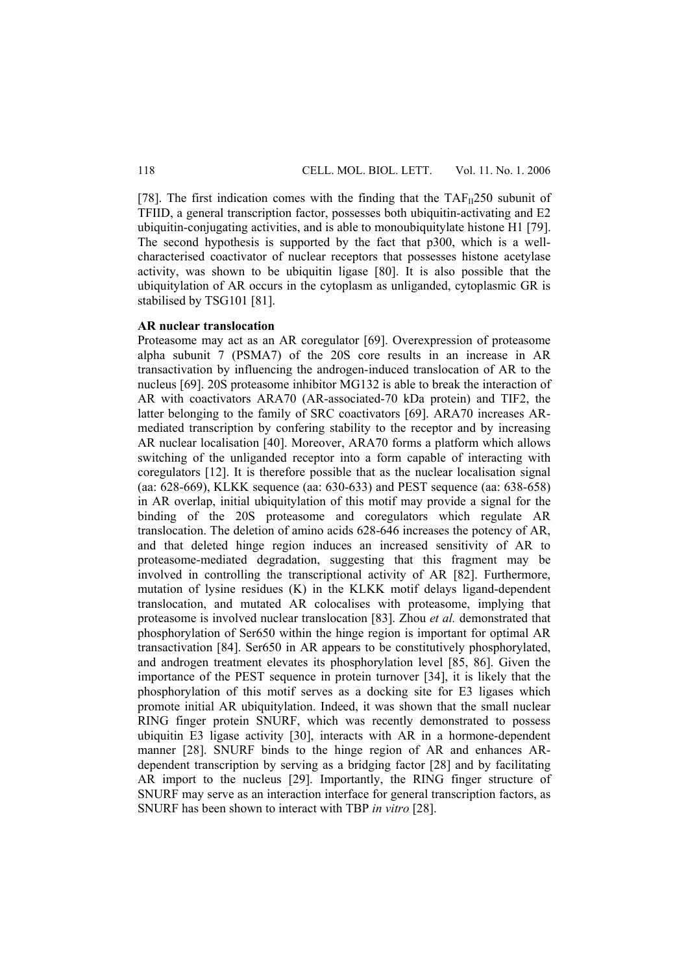[78]. The first indication comes with the finding that the  $TAF<sub>II</sub>250$  subunit of TFIID, a general transcription factor, possesses both ubiquitin-activating and E2 ubiquitin-conjugating activities, and is able to monoubiquitylate histone H1 [79]. The second hypothesis is supported by the fact that p300, which is a wellcharacterised coactivator of nuclear receptors that possesses histone acetylase activity, was shown to be ubiquitin ligase [80]. It is also possible that the ubiquitylation of AR occurs in the cytoplasm as unliganded, cytoplasmic GR is stabilised by TSG101 [81].

#### **AR nuclear translocation**

Proteasome may act as an AR coregulator [69]. Overexpression of proteasome alpha subunit 7 (PSMA7) of the 20S core results in an increase in AR transactivation by influencing the androgen-induced translocation of AR to the nucleus [69]. 20S proteasome inhibitor MG132 is able to break the interaction of AR with coactivators ARA70 (AR-associated-70 kDa protein) and TIF2, the latter belonging to the family of SRC coactivators [69]. ARA70 increases ARmediated transcription by confering stability to the receptor and by increasing AR nuclear localisation [40]. Moreover, ARA70 forms a platform which allows switching of the unliganded receptor into a form capable of interacting with coregulators [12]. It is therefore possible that as the nuclear localisation signal (aa: 628-669), KLKK sequence (aa: 630-633) and PEST sequence (aa: 638-658) in AR overlap, initial ubiquitylation of this motif may provide a signal for the binding of the 20S proteasome and coregulators which regulate AR translocation. The deletion of amino acids 628-646 increases the potency of AR, and that deleted hinge region induces an increased sensitivity of AR to proteasome-mediated degradation, suggesting that this fragment may be involved in controlling the transcriptional activity of AR [82]. Furthermore, mutation of lysine residues (K) in the KLKK motif delays ligand-dependent translocation, and mutated AR colocalises with proteasome, implying that proteasome is involved nuclear translocation [83]. Zhou *et al.* demonstrated that phosphorylation of Ser650 within the hinge region is important for optimal AR transactivation [84]. Ser650 in AR appears to be constitutively phosphorylated, and androgen treatment elevates its phosphorylation level [85, 86]. Given the importance of the PEST sequence in protein turnover [34], it is likely that the phosphorylation of this motif serves as a docking site for E3 ligases which promote initial AR ubiquitylation. Indeed, it was shown that the small nuclear RING finger protein SNURF, which was recently demonstrated to possess ubiquitin E3 ligase activity [30], interacts with AR in a hormone-dependent manner [28]. SNURF binds to the hinge region of AR and enhances ARdependent transcription by serving as a bridging factor [28] and by facilitating AR import to the nucleus [29]. Importantly, the RING finger structure of SNURF may serve as an interaction interface for general transcription factors, as SNURF has been shown to interact with TBP *in vitro* [28].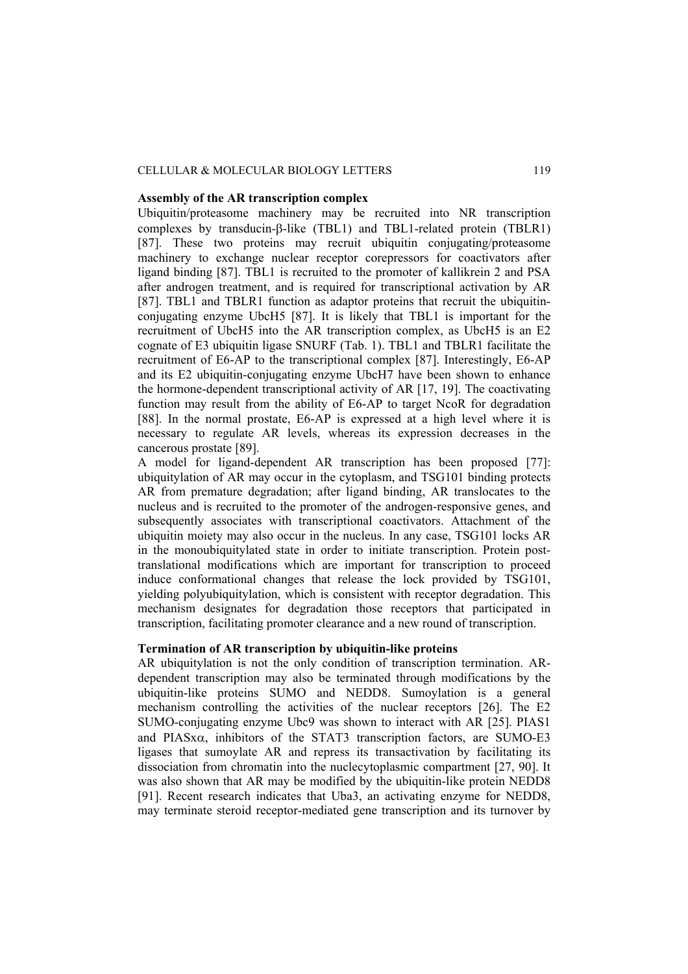#### CELLULAR & MOLECULAR BIOLOGY LETTERS 119

# **Assembly of the AR transcription complex**

Ubiquitin/proteasome machinery may be recruited into NR transcription complexes by transducin-β-like (TBL1) and TBL1-related protein (TBLR1) [87]. These two proteins may recruit ubiquitin conjugating/proteasome machinery to exchange nuclear receptor corepressors for coactivators after ligand binding [87]. TBL1 is recruited to the promoter of kallikrein 2 and PSA after androgen treatment, and is required for transcriptional activation by AR [87]. TBL1 and TBLR1 function as adaptor proteins that recruit the ubiquitinconjugating enzyme UbcH5 [87]. It is likely that TBL1 is important for the recruitment of UbcH5 into the AR transcription complex, as UbcH5 is an E2 cognate of E3 ubiquitin ligase SNURF (Tab. 1). TBL1 and TBLR1 facilitate the recruitment of E6-AP to the transcriptional complex [87]. Interestingly, E6-AP and its E2 ubiquitin-conjugating enzyme UbcH7 have been shown to enhance the hormone-dependent transcriptional activity of AR [17, 19]. The coactivating function may result from the ability of E6-AP to target NcoR for degradation [88]. In the normal prostate, E6-AP is expressed at a high level where it is necessary to regulate AR levels, whereas its expression decreases in the cancerous prostate [89].

A model for ligand-dependent AR transcription has been proposed [77]: ubiquitylation of AR may occur in the cytoplasm, and TSG101 binding protects AR from premature degradation; after ligand binding, AR translocates to the nucleus and is recruited to the promoter of the androgen-responsive genes, and subsequently associates with transcriptional coactivators. Attachment of the ubiquitin moiety may also occur in the nucleus. In any case, TSG101 locks AR in the monoubiquitylated state in order to initiate transcription. Protein posttranslational modifications which are important for transcription to proceed induce conformational changes that release the lock provided by TSG101, yielding polyubiquitylation, which is consistent with receptor degradation. This mechanism designates for degradation those receptors that participated in transcription, facilitating promoter clearance and a new round of transcription.

#### **Termination of AR transcription by ubiquitin-like proteins**

AR ubiquitylation is not the only condition of transcription termination. ARdependent transcription may also be terminated through modifications by the ubiquitin-like proteins SUMO and NEDD8. Sumoylation is a general mechanism controlling the activities of the nuclear receptors [26]. The E2 SUMO-conjugating enzyme Ubc9 was shown to interact with AR [25]. PIAS1 and PIAS $x\alpha$ , inhibitors of the STAT3 transcription factors, are SUMO-E3 ligases that sumoylate AR and repress its transactivation by facilitating its dissociation from chromatin into the nuclecytoplasmic compartment [27, 90]. It was also shown that AR may be modified by the ubiquitin-like protein NEDD8 [91]. Recent research indicates that Uba3, an activating enzyme for NEDD8, may terminate steroid receptor-mediated gene transcription and its turnover by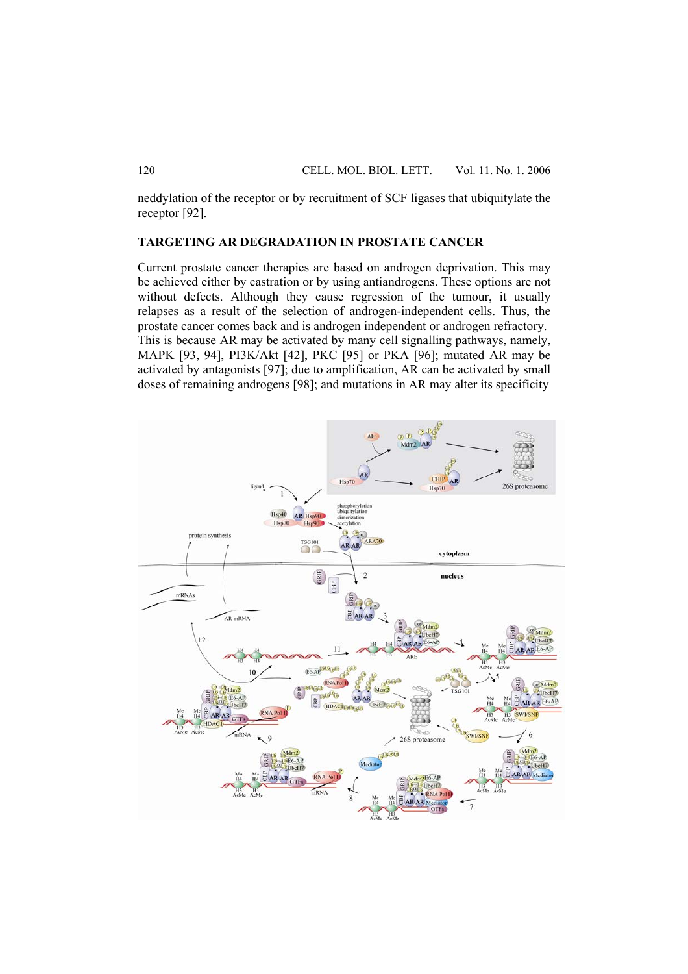neddylation of the receptor or by recruitment of SCF ligases that ubiquitylate the receptor [92].

### **TARGETING AR DEGRADATION IN PROSTATE CANCER**

Current prostate cancer therapies are based on androgen deprivation. This may be achieved either by castration or by using antiandrogens. These options are not without defects. Although they cause regression of the tumour, it usually relapses as a result of the selection of androgen-independent cells. Thus, the prostate cancer comes back and is androgen independent or androgen refractory. This is because AR may be activated by many cell signalling pathways, namely, MAPK [93, 94], PI3K/Akt [42], PKC [95] or PKA [96]; mutated AR may be activated by antagonists [97]; due to amplification, AR can be activated by small doses of remaining androgens [98]; and mutations in AR may alter its specificity

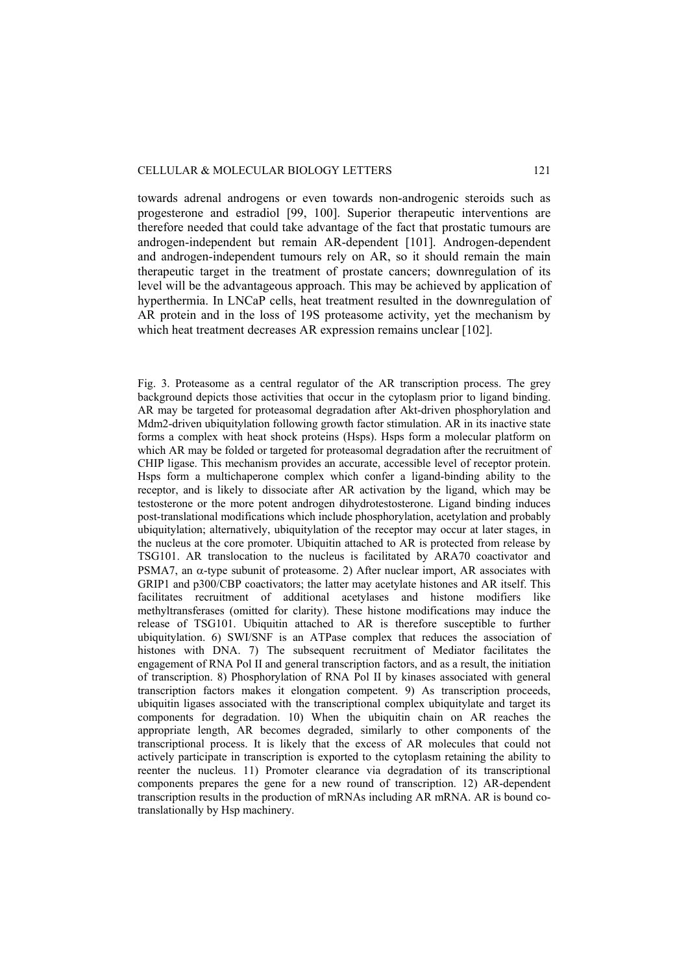towards adrenal androgens or even towards non-androgenic steroids such as progesterone and estradiol [99, 100]. Superior therapeutic interventions are therefore needed that could take advantage of the fact that prostatic tumours are androgen-independent but remain AR-dependent [101]. Androgen-dependent and androgen-independent tumours rely on AR, so it should remain the main therapeutic target in the treatment of prostate cancers; downregulation of its level will be the advantageous approach. This may be achieved by application of hyperthermia. In LNCaP cells, heat treatment resulted in the downregulation of AR protein and in the loss of 19S proteasome activity, yet the mechanism by which heat treatment decreases AR expression remains unclear [102].

Fig. 3. Proteasome as a central regulator of the AR transcription process. The grey background depicts those activities that occur in the cytoplasm prior to ligand binding. AR may be targeted for proteasomal degradation after Akt-driven phosphorylation and Mdm2-driven ubiquitylation following growth factor stimulation. AR in its inactive state forms a complex with heat shock proteins (Hsps). Hsps form a molecular platform on which AR may be folded or targeted for proteasomal degradation after the recruitment of CHIP ligase. This mechanism provides an accurate, accessible level of receptor protein. Hsps form a multichaperone complex which confer a ligand-binding ability to the receptor, and is likely to dissociate after AR activation by the ligand, which may be testosterone or the more potent androgen dihydrotestosterone. Ligand binding induces post-translational modifications which include phosphorylation, acetylation and probably ubiquitylation; alternatively, ubiquitylation of the receptor may occur at later stages, in the nucleus at the core promoter. Ubiquitin attached to AR is protected from release by TSG101. AR translocation to the nucleus is facilitated by ARA70 coactivator and PSMA7, an α-type subunit of proteasome. 2) After nuclear import, AR associates with GRIP1 and p300/CBP coactivators; the latter may acetylate histones and AR itself. This facilitates recruitment of additional acetylases and histone modifiers like methyltransferases (omitted for clarity). These histone modifications may induce the release of TSG101. Ubiquitin attached to AR is therefore susceptible to further ubiquitylation. 6) SWI/SNF is an ATPase complex that reduces the association of histones with DNA. 7) The subsequent recruitment of Mediator facilitates the engagement of RNA Pol II and general transcription factors, and as a result, the initiation of transcription. 8) Phosphorylation of RNA Pol II by kinases associated with general transcription factors makes it elongation competent. 9) As transcription proceeds, ubiquitin ligases associated with the transcriptional complex ubiquitylate and target its components for degradation. 10) When the ubiquitin chain on AR reaches the appropriate length, AR becomes degraded, similarly to other components of the transcriptional process. It is likely that the excess of AR molecules that could not actively participate in transcription is exported to the cytoplasm retaining the ability to reenter the nucleus. 11) Promoter clearance via degradation of its transcriptional components prepares the gene for a new round of transcription. 12) AR-dependent transcription results in the production of mRNAs including AR mRNA. AR is bound cotranslationally by Hsp machinery.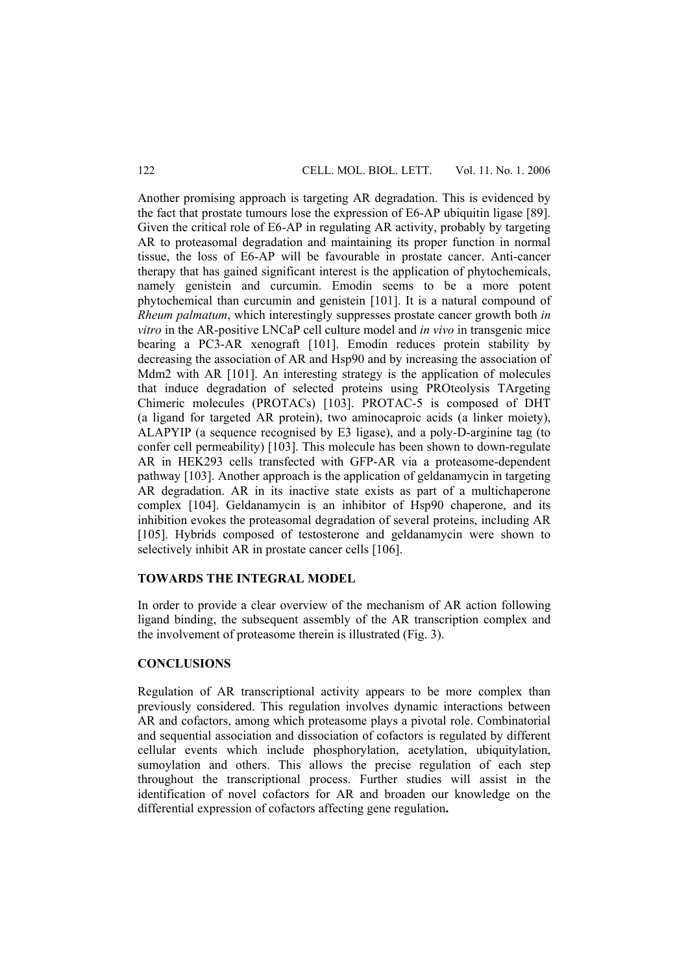Another promising approach is targeting AR degradation. This is evidenced by the fact that prostate tumours lose the expression of E6-AP ubiquitin ligase [89]. Given the critical role of E6-AP in regulating AR activity, probably by targeting AR to proteasomal degradation and maintaining its proper function in normal tissue, the loss of E6-AP will be favourable in prostate cancer. Anti-cancer therapy that has gained significant interest is the application of phytochemicals, namely genistein and curcumin. Emodin seems to be a more potent phytochemical than curcumin and genistein [101]. It is a natural compound of *Rheum palmatum*, which interestingly suppresses prostate cancer growth both *in vitro* in the AR-positive LNCaP cell culture model and *in vivo* in transgenic mice bearing a PC3-AR xenograft [101]. Emodin reduces protein stability by decreasing the association of AR and Hsp90 and by increasing the association of Mdm2 with AR [101]. An interesting strategy is the application of molecules that induce degradation of selected proteins using PROteolysis TArgeting Chimeric molecules (PROTACs) [103]. PROTAC-5 is composed of DHT (a ligand for targeted AR protein), two aminocaproic acids (a linker moiety), ALAPYIP (a sequence recognised by E3 ligase), and a poly-D-arginine tag (to confer cell permeability) [103]. This molecule has been shown to down-regulate AR in HEK293 cells transfected with GFP-AR via a proteasome-dependent pathway [103]. Another approach is the application of geldanamycin in targeting AR degradation. AR in its inactive state exists as part of a multichaperone complex [104]. Geldanamycin is an inhibitor of Hsp90 chaperone, and its inhibition evokes the proteasomal degradation of several proteins, including AR [105]. Hybrids composed of testosterone and geldanamycin were shown to selectively inhibit AR in prostate cancer cells [106].

## **TOWARDS THE INTEGRAL MODEL**

In order to provide a clear overview of the mechanism of AR action following ligand binding, the subsequent assembly of the AR transcription complex and the involvement of proteasome therein is illustrated (Fig. 3).

# **CONCLUSIONS**

Regulation of AR transcriptional activity appears to be more complex than previously considered. This regulation involves dynamic interactions between AR and cofactors, among which proteasome plays a pivotal role. Combinatorial and sequential association and dissociation of cofactors is regulated by different cellular events which include phosphorylation, acetylation, ubiquitylation, sumoylation and others. This allows the precise regulation of each step throughout the transcriptional process. Further studies will assist in the identification of novel cofactors for AR and broaden our knowledge on the differential expression of cofactors affecting gene regulation**.**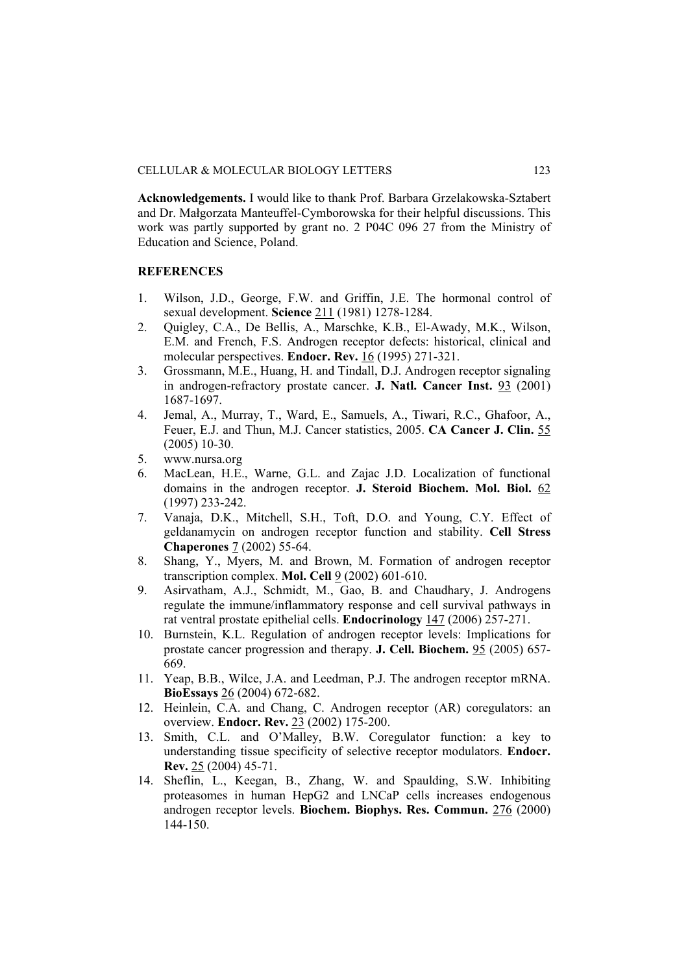**Acknowledgements.** I would like to thank Prof. Barbara Grzelakowska-Sztabert and Dr. Małgorzata Manteuffel-Cymborowska for their helpful discussions. This work was partly supported by grant no. 2 P04C 096 27 from the Ministry of Education and Science, Poland.

## **REFERENCES**

- 1. Wilson, J.D., George, F.W. and Griffin, J.E. The hormonal control of sexual development. **Science** 211 (1981) 1278-1284.
- 2. Quigley, C.A., De Bellis, A., Marschke, K.B., El-Awady, M.K., Wilson, E.M. and French, F.S. Androgen receptor defects: historical, clinical and molecular perspectives. **Endocr. Rev.** 16 (1995) 271-321.
- 3. Grossmann, M.E., Huang, H. and Tindall, D.J. Androgen receptor signaling in androgen-refractory prostate cancer. **J. Natl. Cancer Inst.** 93 (2001) 1687-1697.
- 4. Jemal, A., Murray, T., Ward, E., Samuels, A., Tiwari, R.C., Ghafoor, A., Feuer, E.J. and Thun, M.J. Cancer statistics, 2005. **CA Cancer J. Clin.** 55 (2005) 10-30.
- 5. www.nursa.org
- 6. MacLean, H.E., Warne, G.L. and Zajac J.D. Localization of functional domains in the androgen receptor. **J. Steroid Biochem. Mol. Biol.** 62 (1997) 233-242.
- 7. Vanaja, D.K., Mitchell, S.H., Toft, D.O. and Young, C.Y. Effect of geldanamycin on androgen receptor function and stability. **Cell Stress Chaperones** 7 (2002) 55-64.
- 8. Shang, Y., Myers, M. and Brown, M. Formation of androgen receptor transcription complex. **Mol. Cell** 9 (2002) 601-610.
- 9. Asirvatham, A.J., Schmidt, M., Gao, B. and Chaudhary, J. Androgens regulate the immune/inflammatory response and cell survival pathways in rat ventral prostate epithelial cells. **Endocrinology** 147 (2006) 257-271.
- 10. Burnstein, K.L. Regulation of androgen receptor levels: Implications for prostate cancer progression and therapy. **J. Cell. Biochem.** 95 (2005) 657- 669.
- 11. Yeap, B.B., Wilce, J.A. and Leedman, P.J. The androgen receptor mRNA. **BioEssays** 26 (2004) 672-682.
- 12. Heinlein, C.A. and Chang, C. Androgen receptor (AR) coregulators: an overview. **Endocr. Rev.** 23 (2002) 175-200.
- 13. Smith, C.L. and O'Malley, B.W. Coregulator function: a key to understanding tissue specificity of selective receptor modulators. **Endocr. Rev.** 25 (2004) 45-71.
- 14. Sheflin, L., Keegan, B., Zhang, W. and Spaulding, S.W. Inhibiting proteasomes in human HepG2 and LNCaP cells increases endogenous androgen receptor levels. **Biochem. Biophys. Res. Commun.** 276 (2000) 144-150.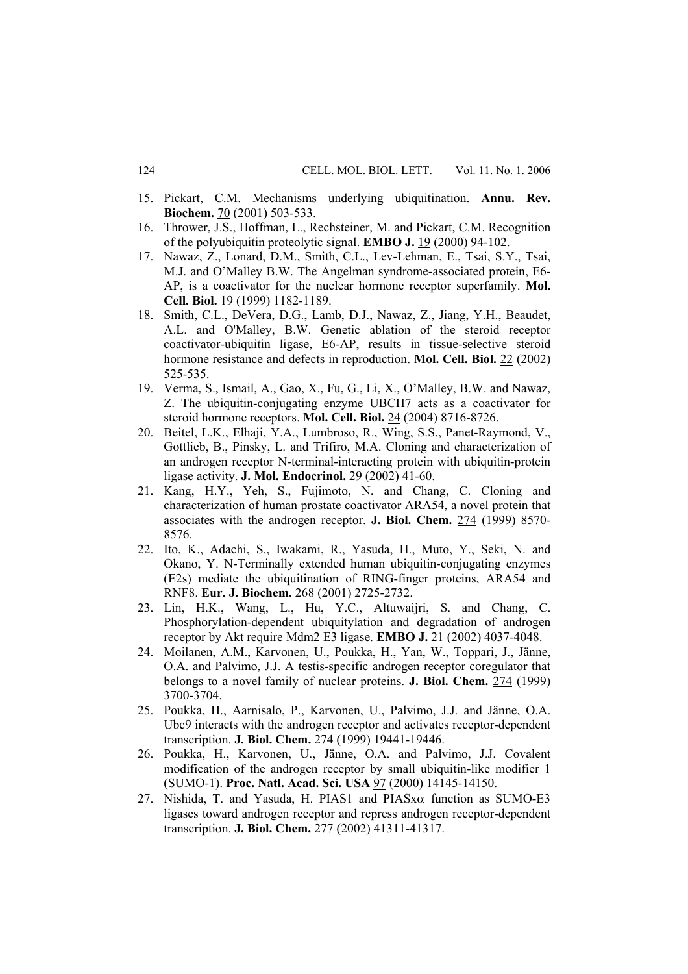- 15. Pickart, C.M. Mechanisms underlying ubiquitination. **Annu. Rev. Biochem.** 70 (2001) 503-533.
- 16. Thrower, J.S., Hoffman, L., Rechsteiner, M. and Pickart, C.M. Recognition of the polyubiquitin proteolytic signal. **EMBO J.** 19 (2000) 94-102.
- 17. Nawaz, Z., Lonard, D.M., Smith, C.L., Lev-Lehman, E., Tsai, S.Y., Tsai, M.J. and O'Malley B.W. The Angelman syndrome-associated protein, E6- AP, is a coactivator for the nuclear hormone receptor superfamily. **Mol. Cell. Biol.** 19 (1999) 1182-1189.
- 18. Smith, C.L., DeVera, D.G., Lamb, D.J., Nawaz, Z., Jiang, Y.H., Beaudet, A.L. and O'Malley, B.W. Genetic ablation of the steroid receptor coactivator-ubiquitin ligase, E6-AP, results in tissue-selective steroid hormone resistance and defects in reproduction. **Mol. Cell. Biol.** 22 (2002) 525-535.
- 19. Verma, S., Ismail, A., Gao, X., Fu, G., Li, X., O'Malley, B.W. and Nawaz, Z. The ubiquitin-conjugating enzyme UBCH7 acts as a coactivator for steroid hormone receptors. **Mol. Cell. Biol.** 24 (2004) 8716-8726.
- 20. Beitel, L.K., Elhaji, Y.A., Lumbroso, R., Wing, S.S., Panet-Raymond, V., Gottlieb, B., Pinsky, L. and Trifiro, M.A. Cloning and characterization of an androgen receptor N-terminal-interacting protein with ubiquitin-protein ligase activity. **J. Mol. Endocrinol.** 29 (2002) 41-60.
- 21. Kang, H.Y., Yeh, S., Fujimoto, N. and Chang, C. Cloning and characterization of human prostate coactivator ARA54, a novel protein that associates with the androgen receptor. **J. Biol. Chem.** 274 (1999) 8570- 8576.
- 22. Ito, K., Adachi, S., Iwakami, R., Yasuda, H., Muto, Y., Seki, N. and Okano, Y. N-Terminally extended human ubiquitin-conjugating enzymes (E2s) mediate the ubiquitination of RING-finger proteins, ARA54 and RNF8. **Eur. J. Biochem.** 268 (2001) 2725-2732.
- 23. Lin, H.K., Wang, L., Hu, Y.C., Altuwaijri, S. and Chang, C. Phosphorylation-dependent ubiquitylation and degradation of androgen receptor by Akt require Mdm2 E3 ligase. **EMBO J.** 21 (2002) 4037-4048.
- 24. Moilanen, A.M., Karvonen, U., Poukka, H., Yan, W., Toppari, J., Jänne, O.A. and Palvimo, J.J. A testis-specific androgen receptor coregulator that belongs to a novel family of nuclear proteins. **J. Biol. Chem.** 274 (1999) 3700-3704.
- 25. Poukka, H., Aarnisalo, P., Karvonen, U., Palvimo, J.J. and Jänne, O.A. Ubc9 interacts with the androgen receptor and activates receptor-dependent transcription. **J. Biol. Chem.** 274 (1999) 19441-19446.
- 26. Poukka, H., Karvonen, U., Jänne, O.A. and Palvimo, J.J. Covalent modification of the androgen receptor by small ubiquitin-like modifier 1 (SUMO-1). **Proc. Natl. Acad. Sci. USA** 97 (2000) 14145-14150.
- 27. Nishida, T. and Yasuda, H. PIAS1 and PIAS $x\alpha$  function as SUMO-E3 ligases toward androgen receptor and repress androgen receptor-dependent transcription. **J. Biol. Chem.** 277 (2002) 41311-41317.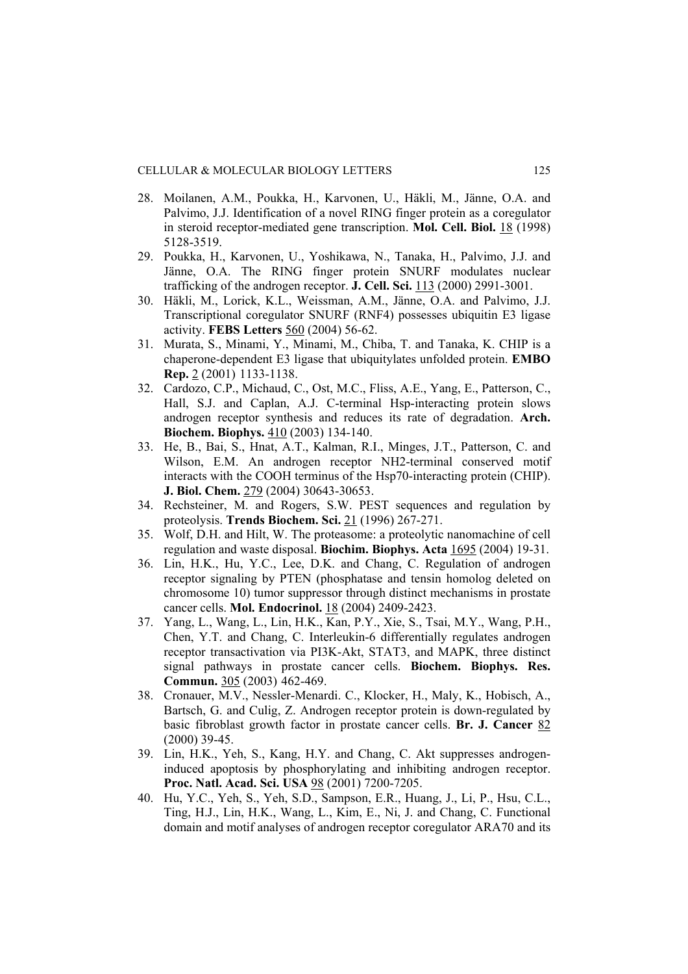- 28. Moilanen, A.M., Poukka, H., Karvonen, U., Häkli, M., Jänne, O.A. and Palvimo, J.J. Identification of a novel RING finger protein as a coregulator in steroid receptor-mediated gene transcription. **Mol. Cell. Biol.** 18 (1998) 5128-3519.
- 29. Poukka, H., Karvonen, U., Yoshikawa, N., Tanaka, H., Palvimo, J.J. and Jänne, O.A. The RING finger protein SNURF modulates nuclear trafficking of the androgen receptor. **J. Cell. Sci.** 113 (2000) 2991-3001.
- 30. Häkli, M., Lorick, K.L., Weissman, A.M., Jänne, O.A. and Palvimo, J.J. Transcriptional coregulator SNURF (RNF4) possesses ubiquitin E3 ligase activity. **FEBS Letters** 560 (2004) 56-62.
- 31. Murata, S., Minami, Y., Minami, M., Chiba, T. and Tanaka, K. CHIP is a chaperone-dependent E3 ligase that ubiquitylates unfolded protein. **EMBO Rep.** 2 (2001) 1133-1138.
- 32. Cardozo, C.P., Michaud, C., Ost, M.C., Fliss, A.E., Yang, E., Patterson, C., Hall, S.J. and Caplan, A.J. C-terminal Hsp-interacting protein slows androgen receptor synthesis and reduces its rate of degradation. **Arch. Biochem. Biophys.** 410 (2003) 134-140.
- 33. He, B., Bai, S., Hnat, A.T., Kalman, R.I., Minges, J.T., Patterson, C. and Wilson, E.M. An androgen receptor NH2-terminal conserved motif interacts with the COOH terminus of the Hsp70-interacting protein (CHIP). **J. Biol. Chem.** 279 (2004) 30643-30653.
- 34. Rechsteiner, M. and Rogers, S.W. PEST sequences and regulation by proteolysis. **Trends Biochem. Sci.** 21 (1996) 267-271.
- 35. Wolf, D.H. and Hilt, W. The proteasome: a proteolytic nanomachine of cell regulation and waste disposal. **Biochim. Biophys. Acta** 1695 (2004) 19-31.
- 36. Lin, H.K., Hu, Y.C., Lee, D.K. and Chang, C. Regulation of androgen receptor signaling by PTEN (phosphatase and tensin homolog deleted on chromosome 10) tumor suppressor through distinct mechanisms in prostate cancer cells. **Mol. Endocrinol.** 18 (2004) 2409-2423.
- 37. Yang, L., Wang, L., Lin, H.K., Kan, P.Y., Xie, S., Tsai, M.Y., Wang, P.H., Chen, Y.T. and Chang, C. Interleukin-6 differentially regulates androgen receptor transactivation via PI3K-Akt, STAT3, and MAPK, three distinct signal pathways in prostate cancer cells. **Biochem. Biophys. Res. Commun.** 305 (2003) 462-469.
- 38. Cronauer, M.V., Nessler-Menardi. C., Klocker, H., Maly, K., Hobisch, A., Bartsch, G. and Culig, Z. Androgen receptor protein is down-regulated by basic fibroblast growth factor in prostate cancer cells. **Br. J. Cancer** 82 (2000) 39-45.
- 39. Lin, H.K., Yeh, S., Kang, H.Y. and Chang, C. Akt suppresses androgeninduced apoptosis by phosphorylating and inhibiting androgen receptor. **Proc. Natl. Acad. Sci. USA** 98 (2001) 7200-7205.
- 40. Hu, Y.C., Yeh, S., Yeh, S.D., Sampson, E.R., Huang, J., Li, P., Hsu, C.L., Ting, H.J., Lin, H.K., Wang, L., Kim, E., Ni, J. and Chang, C. Functional domain and motif analyses of androgen receptor coregulator ARA70 and its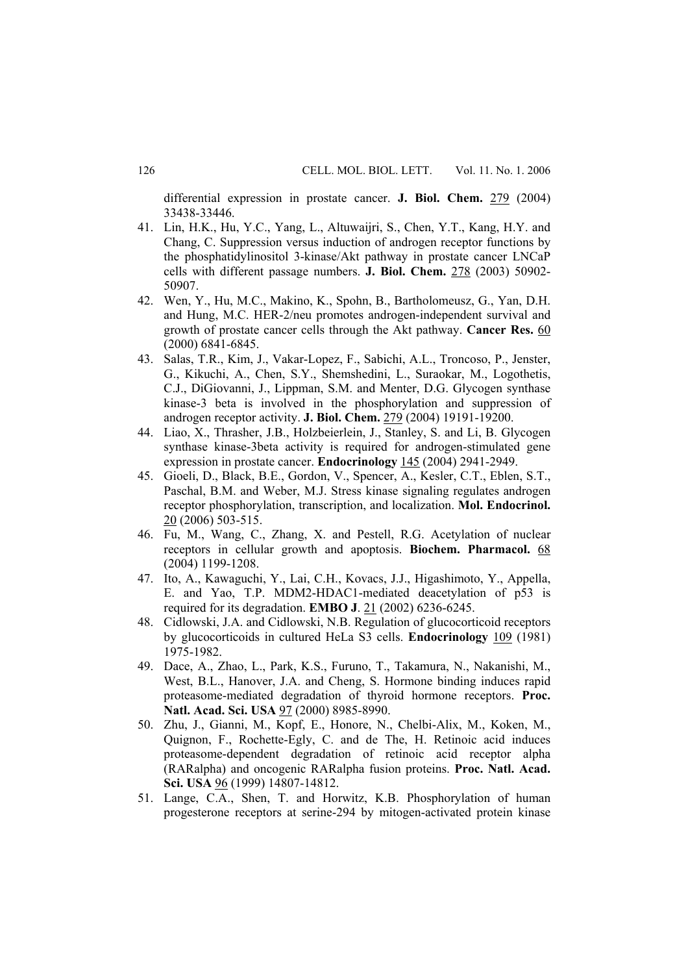differential expression in prostate cancer. **J. Biol. Chem.** 279 (2004) 33438-33446.

- 41. Lin, H.K., Hu, Y.C., Yang, L., Altuwaijri, S., Chen, Y.T., Kang, H.Y. and Chang, C. Suppression versus induction of androgen receptor functions by the phosphatidylinositol 3-kinase/Akt pathway in prostate cancer LNCaP cells with different passage numbers. **J. Biol. Chem.** 278 (2003) 50902- 50907.
- 42. Wen, Y., Hu, M.C., Makino, K., Spohn, B., Bartholomeusz, G., Yan, D.H. and Hung, M.C. HER-2/neu promotes androgen-independent survival and growth of prostate cancer cells through the Akt pathway. **Cancer Res.** 60 (2000) 6841-6845.
- 43. Salas, T.R., Kim, J., Vakar-Lopez, F., Sabichi, A.L., Troncoso, P., Jenster, G., Kikuchi, A., Chen, S.Y., Shemshedini, L., Suraokar, M., Logothetis, C.J., DiGiovanni, J., Lippman, S.M. and Menter, D.G. Glycogen synthase kinase-3 beta is involved in the phosphorylation and suppression of androgen receptor activity. **J. Biol. Chem.** 279 (2004) 19191-19200.
- 44. Liao, X., Thrasher, J.B., Holzbeierlein, J., Stanley, S. and Li, B. Glycogen synthase kinase-3beta activity is required for androgen-stimulated gene expression in prostate cancer. **Endocrinology** 145 (2004) 2941-2949.
- 45. Gioeli, D., Black, B.E., Gordon, V., Spencer, A., Kesler, C.T., Eblen, S.T., Paschal, B.M. and Weber, M.J. Stress kinase signaling regulates androgen receptor phosphorylation, transcription, and localization. **Mol. Endocrinol.** 20 (2006) 503-515.
- 46. Fu, M., Wang, C., Zhang, X. and Pestell, R.G. Acetylation of nuclear receptors in cellular growth and apoptosis. **Biochem. Pharmacol.** 68 (2004) 1199-1208.
- 47. Ito, A., Kawaguchi, Y., Lai, C.H., Kovacs, J.J., Higashimoto, Y., Appella, E. and Yao, T.P. MDM2-HDAC1-mediated deacetylation of p53 is required for its degradation. **EMBO J**. 21 (2002) 6236-6245.
- 48. Cidlowski, J.A. and Cidlowski, N.B. Regulation of glucocorticoid receptors by glucocorticoids in cultured HeLa S3 cells. **Endocrinology** 109 (1981) 1975-1982.
- 49. Dace, A., Zhao, L., Park, K.S., Furuno, T., Takamura, N., Nakanishi, M., West, B.L., Hanover, J.A. and Cheng, S. Hormone binding induces rapid proteasome-mediated degradation of thyroid hormone receptors. **Proc. Natl. Acad. Sci. USA** 97 (2000) 8985-8990.
- 50. Zhu, J., Gianni, M., Kopf, E., Honore, N., Chelbi-Alix, M., Koken, M., Quignon, F., Rochette-Egly, C. and de The, H. Retinoic acid induces proteasome-dependent degradation of retinoic acid receptor alpha (RARalpha) and oncogenic RARalpha fusion proteins. **Proc. Natl. Acad. Sci. USA** 96 (1999) 14807-14812.
- 51. Lange, C.A., Shen, T. and Horwitz, K.B. Phosphorylation of human progesterone receptors at serine-294 by mitogen-activated protein kinase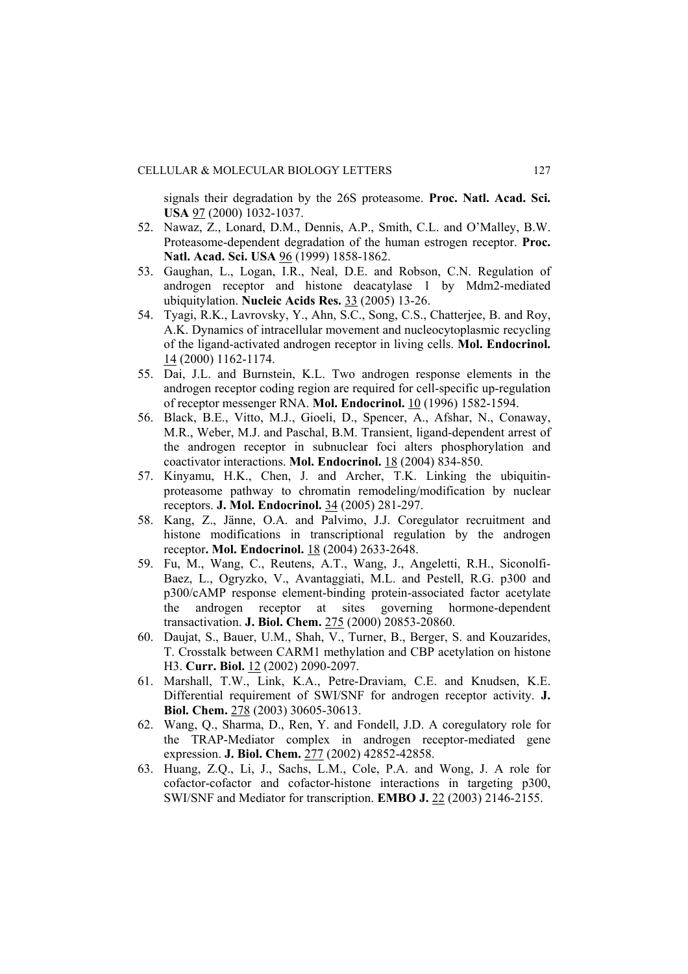signals their degradation by the 26S proteasome. **Proc. Natl. Acad. Sci. USA** 97 (2000) 1032-1037.

- 52. Nawaz, Z., Lonard, D.M., Dennis, A.P., Smith, C.L. and O'Malley, B.W. Proteasome-dependent degradation of the human estrogen receptor. **Proc. Natl. Acad. Sci. USA** 96 (1999) 1858-1862.
- 53. Gaughan, L., Logan, I.R., Neal, D.E. and Robson, C.N. Regulation of androgen receptor and histone deacatylase 1 by Mdm2-mediated ubiquitylation. **Nucleic Acids Res.** 33 (2005) 13-26.
- 54. Tyagi, R.K., Lavrovsky, Y., Ahn, S.C., Song, C.S., Chatterjee, B. and Roy, A.K. Dynamics of intracellular movement and nucleocytoplasmic recycling of the ligand-activated androgen receptor in living cells. **Mol. Endocrinol.** 14 (2000) 1162-1174.
- 55. Dai, J.L. and Burnstein, K.L. Two androgen response elements in the androgen receptor coding region are required for cell-specific up-regulation of receptor messenger RNA. **Mol. Endocrinol.** 10 (1996) 1582-1594.
- 56. Black, B.E., Vitto, M.J., Gioeli, D., Spencer, A., Afshar, N., Conaway, M.R., Weber, M.J. and Paschal, B.M. Transient, ligand-dependent arrest of the androgen receptor in subnuclear foci alters phosphorylation and coactivator interactions. **Mol. Endocrinol.** 18 (2004) 834-850.
- 57. Kinyamu, H.K., Chen, J. and Archer, T.K. Linking the ubiquitinproteasome pathway to chromatin remodeling/modification by nuclear receptors. **J. Mol. Endocrinol.** 34 (2005) 281-297.
- 58. Kang, Z., Jänne, O.A. and Palvimo, J.J. Coregulator recruitment and histone modifications in transcriptional regulation by the androgen receptor**. Mol. Endocrinol.** 18 (2004) 2633-2648.
- 59. Fu, M., Wang, C., Reutens, A.T., Wang, J., Angeletti, R.H., Siconolfi-Baez, L., Ogryzko, V., Avantaggiati, M.L. and Pestell, R.G. p300 and p300/cAMP response element-binding protein-associated factor acetylate the androgen receptor at sites governing hormone-dependent transactivation. **J. Biol. Chem.** 275 (2000) 20853-20860.
- 60. Daujat, S., Bauer, U.M., Shah, V., Turner, B., Berger, S. and Kouzarides, T. Crosstalk between CARM1 methylation and CBP acetylation on histone H3. **Curr. Biol.** 12 (2002) 2090-2097.
- 61. Marshall, T.W., Link, K.A., Petre-Draviam, C.E. and Knudsen, K.E. Differential requirement of SWI/SNF for androgen receptor activity. **J. Biol. Chem.** 278 (2003) 30605-30613.
- 62. Wang, Q., Sharma, D., Ren, Y. and Fondell, J.D. A coregulatory role for the TRAP-Mediator complex in androgen receptor-mediated gene expression. **J. Biol. Chem.** 277 (2002) 42852-42858.
- 63. Huang, Z.Q., Li, J., Sachs, L.M., Cole, P.A. and Wong, J. A role for cofactor-cofactor and cofactor-histone interactions in targeting p300, SWI/SNF and Mediator for transcription. **EMBO J.** 22 (2003) 2146-2155.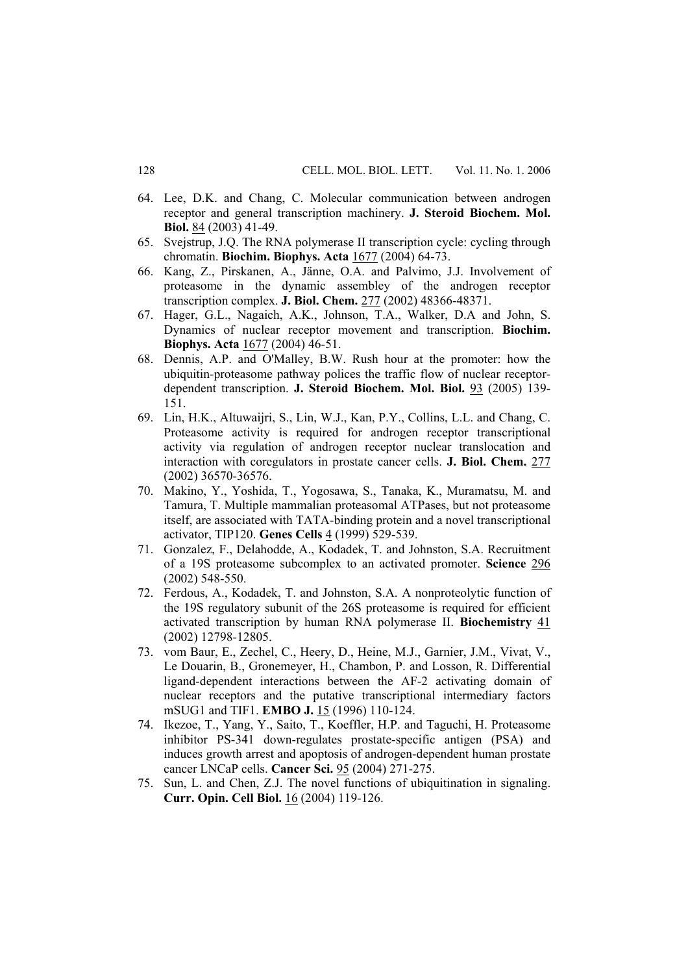- 64. Lee, D.K. and Chang, C. Molecular communication between androgen receptor and general transcription machinery. **J. Steroid Biochem. Mol. Biol.** 84 (2003) 41-49.
- 65. Svejstrup, J.Q. The RNA polymerase II transcription cycle: cycling through chromatin. **Biochim. Biophys. Acta** 1677 (2004) 64-73.
- 66. Kang, Z., Pirskanen, A., Jänne, O.A. and Palvimo, J.J. Involvement of proteasome in the dynamic assembley of the androgen receptor transcription complex. **J. Biol. Chem.** 277 (2002) 48366-48371.
- 67. Hager, G.L., Nagaich, A.K., Johnson, T.A., Walker, D.A and John, S. Dynamics of nuclear receptor movement and transcription. **Biochim. Biophys. Acta** 1677 (2004) 46-51.
- 68. Dennis, A.P. and O'Malley, B.W. Rush hour at the promoter: how the ubiquitin-proteasome pathway polices the traffic flow of nuclear receptordependent transcription. **J. Steroid Biochem. Mol. Biol.** 93 (2005) 139- 151.
- 69. Lin, H.K., Altuwaijri, S., Lin, W.J., Kan, P.Y., Collins, L.L. and Chang, C. Proteasome activity is required for androgen receptor transcriptional activity via regulation of androgen receptor nuclear translocation and interaction with coregulators in prostate cancer cells. **J. Biol. Chem.** 277 (2002) 36570-36576.
- 70. Makino, Y., Yoshida, T., Yogosawa, S., Tanaka, K., Muramatsu, M. and Tamura, T. Multiple mammalian proteasomal ATPases, but not proteasome itself, are associated with TATA-binding protein and a novel transcriptional activator, TIP120. **Genes Cells** 4 (1999) 529-539.
- 71. Gonzalez, F., Delahodde, A., Kodadek, T. and Johnston, S.A. Recruitment of a 19S proteasome subcomplex to an activated promoter. **Science** 296 (2002) 548-550.
- 72. Ferdous, A., Kodadek, T. and Johnston, S.A. A nonproteolytic function of the 19S regulatory subunit of the 26S proteasome is required for efficient activated transcription by human RNA polymerase II. **Biochemistry** 41 (2002) 12798-12805.
- 73. vom Baur, E., Zechel, C., Heery, D., Heine, M.J., Garnier, J.M., Vivat, V., Le Douarin, B., Gronemeyer, H., Chambon, P. and Losson, R. Differential ligand-dependent interactions between the AF-2 activating domain of nuclear receptors and the putative transcriptional intermediary factors mSUG1 and TIF1. **EMBO J.** 15 (1996) 110-124.
- 74. Ikezoe, T., Yang, Y., Saito, T., Koeffler, H.P. and Taguchi, H. Proteasome inhibitor PS-341 down-regulates prostate-specific antigen (PSA) and induces growth arrest and apoptosis of androgen-dependent human prostate cancer LNCaP cells. **Cancer Sci.** 95 (2004) 271-275.
- 75. Sun, L. and Chen, Z.J. The novel functions of ubiquitination in signaling. **Curr. Opin. Cell Biol.** 16 (2004) 119-126.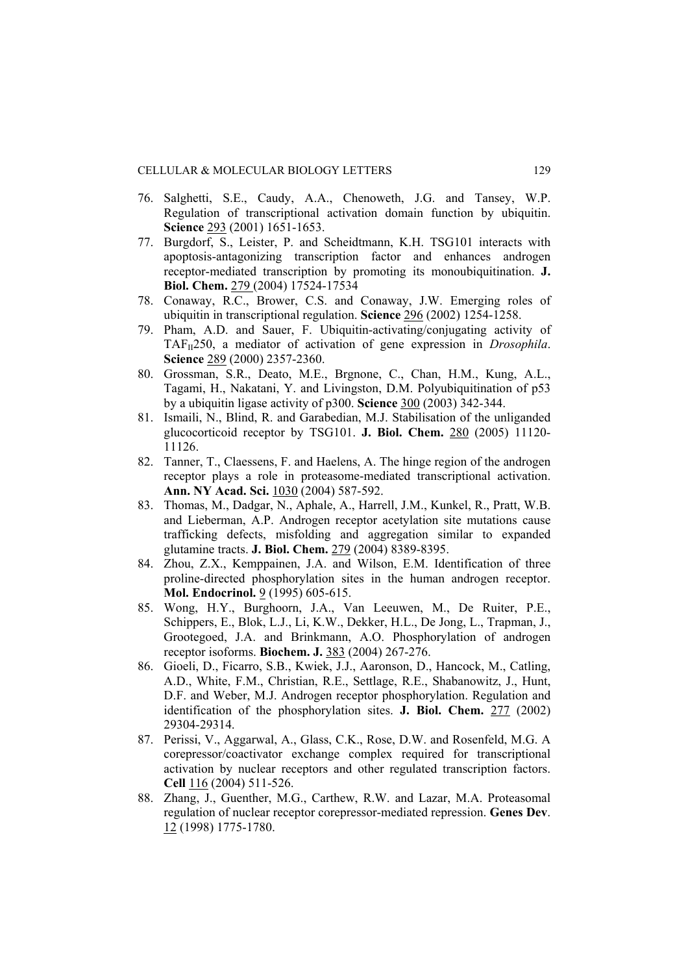- 76. Salghetti, S.E., Caudy, A.A., Chenoweth, J.G. and Tansey, W.P. Regulation of transcriptional activation domain function by ubiquitin. **Science** 293 (2001) 1651-1653.
- 77. Burgdorf, S., Leister, P. and Scheidtmann, K.H. TSG101 interacts with apoptosis-antagonizing transcription factor and enhances androgen receptor-mediated transcription by promoting its monoubiquitination. **J. Biol. Chem.** 279 (2004) 17524-17534
- 78. Conaway, R.C., Brower, C.S. and Conaway, J.W. Emerging roles of ubiquitin in transcriptional regulation. **Science** 296 (2002) 1254-1258.
- 79. Pham, A.D. and Sauer, F. Ubiquitin-activating/conjugating activity of TAF<sub>II</sub>250, a mediator of activation of gene expression in *Drosophila*. **Science** 289 (2000) 2357-2360.
- 80. Grossman, S.R., Deato, M.E., Brgnone, C., Chan, H.M., Kung, A.L., Tagami, H., Nakatani, Y. and Livingston, D.M. Polyubiquitination of p53 by a ubiquitin ligase activity of p300. **Science** 300 (2003) 342-344.
- 81. Ismaili, N., Blind, R. and Garabedian, M.J. Stabilisation of the unliganded glucocorticoid receptor by TSG101. **J. Biol. Chem.** 280 (2005) 11120- 11126.
- 82. Tanner, T., Claessens, F. and Haelens, A. The hinge region of the androgen receptor plays a role in proteasome-mediated transcriptional activation. **Ann. NY Acad. Sci.** 1030 (2004) 587-592.
- 83. Thomas, M., Dadgar, N., Aphale, A., Harrell, J.M., Kunkel, R., Pratt, W.B. and Lieberman, A.P. Androgen receptor acetylation site mutations cause trafficking defects, misfolding and aggregation similar to expanded glutamine tracts. **J. Biol. Chem.** 279 (2004) 8389-8395.
- 84. Zhou, Z.X., Kemppainen, J.A. and Wilson, E.M. Identification of three proline-directed phosphorylation sites in the human androgen receptor. **Mol. Endocrinol.** 9 (1995) 605-615.
- 85. Wong, H.Y., Burghoorn, J.A., Van Leeuwen, M., De Ruiter, P.E., Schippers, E., Blok, L.J., Li, K.W., Dekker, H.L., De Jong, L., Trapman, J., Grootegoed, J.A. and Brinkmann, A.O. Phosphorylation of androgen receptor isoforms. **Biochem. J.** 383 (2004) 267-276.
- 86. Gioeli, D., Ficarro, S.B., Kwiek, J.J., Aaronson, D., Hancock, M., Catling, A.D., White, F.M., Christian, R.E., Settlage, R.E., Shabanowitz, J., Hunt, D.F. and Weber, M.J. Androgen receptor phosphorylation. Regulation and identification of the phosphorylation sites. **J. Biol. Chem.** 277 (2002) 29304-29314.
- 87. Perissi, V., Aggarwal, A., Glass, C.K., Rose, D.W. and Rosenfeld, M.G. A corepressor/coactivator exchange complex required for transcriptional activation by nuclear receptors and other regulated transcription factors. **Cell** 116 (2004) 511-526.
- 88. Zhang, J., Guenther, M.G., Carthew, R.W. and Lazar, M.A. Proteasomal regulation of nuclear receptor corepressor-mediated repression. **Genes Dev**. 12 (1998) 1775-1780.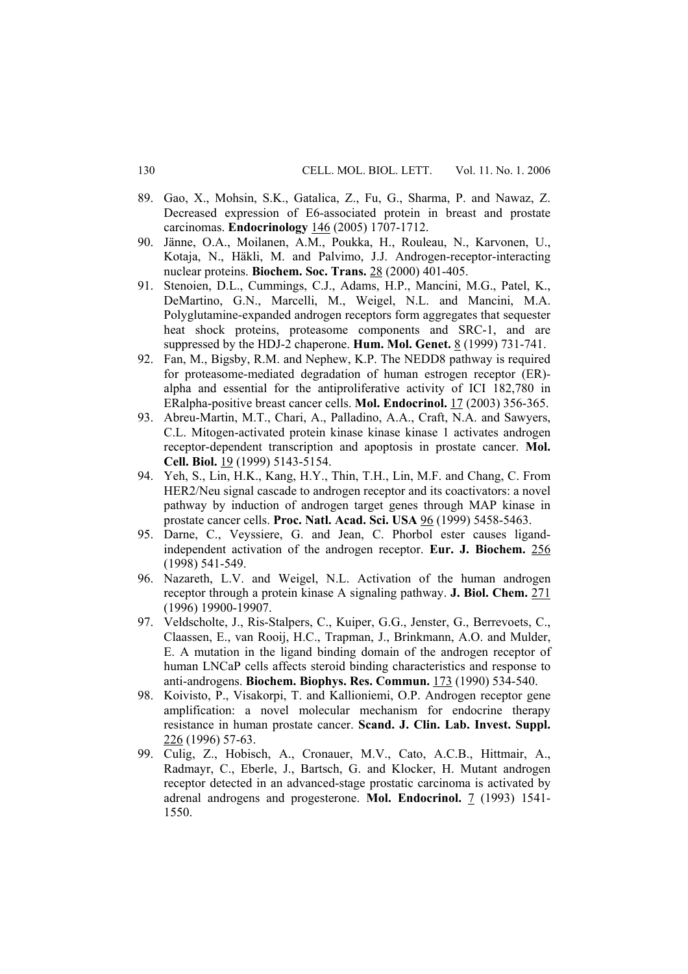- 89. Gao, X., Mohsin, S.K., Gatalica, Z., Fu, G., Sharma, P. and Nawaz, Z. Decreased expression of E6-associated protein in breast and prostate carcinomas. **Endocrinology** 146 (2005) 1707-1712.
- 90. Jänne, O.A., Moilanen, A.M., Poukka, H., Rouleau, N., Karvonen, U., Kotaja, N., Häkli, M. and Palvimo, J.J. Androgen-receptor-interacting nuclear proteins. **Biochem. Soc. Trans.** 28 (2000) 401-405.
- 91. Stenoien, D.L., Cummings, C.J., Adams, H.P., Mancini, M.G., Patel, K., DeMartino, G.N., Marcelli, M., Weigel, N.L. and Mancini, M.A. Polyglutamine-expanded androgen receptors form aggregates that sequester heat shock proteins, proteasome components and SRC-1, and are suppressed by the HDJ-2 chaperone. **Hum. Mol. Genet.** 8 (1999) 731-741.
- 92. Fan, M., Bigsby, R.M. and Nephew, K.P. The NEDD8 pathway is required for proteasome-mediated degradation of human estrogen receptor (ER) alpha and essential for the antiproliferative activity of ICI 182,780 in ERalpha-positive breast cancer cells. **Mol. Endocrinol.** 17 (2003) 356-365.
- 93. Abreu-Martin, M.T., Chari, A., Palladino, A.A., Craft, N.A. and Sawyers, C.L. Mitogen-activated protein kinase kinase kinase 1 activates androgen receptor-dependent transcription and apoptosis in prostate cancer. **Mol. Cell. Biol.** 19 (1999) 5143-5154.
- 94. Yeh, S., Lin, H.K., Kang, H.Y., Thin, T.H., Lin, M.F. and Chang, C. From HER2/Neu signal cascade to androgen receptor and its coactivators: a novel pathway by induction of androgen target genes through MAP kinase in prostate cancer cells. **Proc. Natl. Acad. Sci. USA** 96 (1999) 5458-5463.
- 95. Darne, C., Veyssiere, G. and Jean, C. Phorbol ester causes ligandindependent activation of the androgen receptor. **Eur. J. Biochem.** 256 (1998) 541-549.
- 96. Nazareth, L.V. and Weigel, N.L. Activation of the human androgen receptor through a protein kinase A signaling pathway. **J. Biol. Chem.** 271 (1996) 19900-19907.
- 97. Veldscholte, J., Ris-Stalpers, C., Kuiper, G.G., Jenster, G., Berrevoets, C., Claassen, E., van Rooij, H.C., Trapman, J., Brinkmann, A.O. and Mulder, E. A mutation in the ligand binding domain of the androgen receptor of human LNCaP cells affects steroid binding characteristics and response to anti-androgens. **Biochem. Biophys. Res. Commun.** 173 (1990) 534-540.
- 98. Koivisto, P., Visakorpi, T. and Kallioniemi, O.P. Androgen receptor gene amplification: a novel molecular mechanism for endocrine therapy resistance in human prostate cancer. **Scand. J. Clin. Lab. Invest. Suppl.** 226 (1996) 57-63.
- 99. Culig, Z., Hobisch, A., Cronauer, M.V., Cato, A.C.B., Hittmair, A., Radmayr, C., Eberle, J., Bartsch, G. and Klocker, H. Mutant androgen receptor detected in an advanced-stage prostatic carcinoma is activated by adrenal androgens and progesterone. **Mol. Endocrinol.** 7 (1993) 1541- 1550.